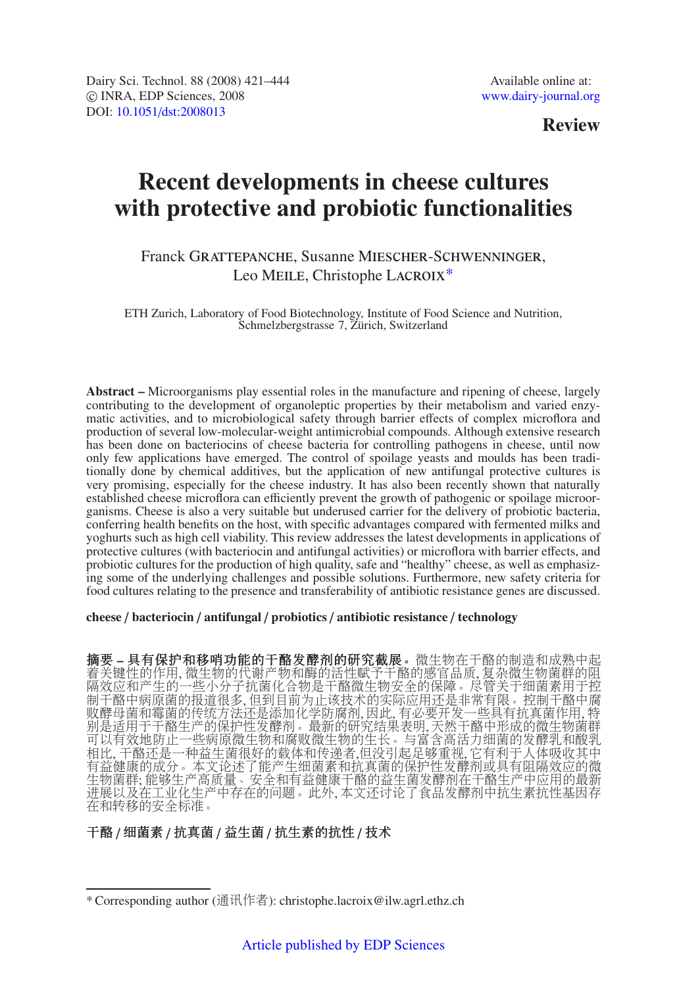# **Review**

# **Recent developments in cheese cultures with protective and probiotic functionalities**

Franck Grattepanche, Susanne Miescher-Schwenninger, Leo MEILE, Christophe LACROIX<sup>\*</sup>

ETH Zurich, Laboratory of Food Biotechnology, Institute of Food Science and Nutrition, Schmelzbergstrasse 7, Zürich, Switzerland

**Abstract –** Microorganisms play essential roles in the manufacture and ripening of cheese, largely contributing to the development of organoleptic properties by their metabolism and varied enzymatic activities, and to microbiological safety through barrier effects of complex microflora and production of several low-molecular-weight antimicrobial compounds. Although extensive research has been done on bacteriocins of cheese bacteria for controlling pathogens in cheese, until now only few applications have emerged. The control of spoilage yeasts and moulds has been traditionally done by chemical additives, but the application of new antifungal protective cultures is very promising, especially for the cheese industry. It has also been recently shown that naturally established cheese microflora can efficiently prevent the growth of pathogenic or spoilage microorganisms. Cheese is also a very suitable but underused carrier for the delivery of probiotic bacteria, conferring health benefits on the host, with specific advantages compared with fermented milks and yoghurts such as high cell viability. This review addresses the latest developments in applications of protective cultures (with bacteriocin and antifungal activities) or microflora with barrier effects, and probiotic cultures for the production of high quality, safe and "healthy" cheese, as well as emphasizing some of the underlying challenges and possible solutions. Furthermore, new safety criteria for food cultures relating to the presence and transferability of antibiotic resistance genes are discussed.

#### **cheese** / **bacteriocin** / **antifungal** / **probiotics** / **antibiotic resistance** / **technology**

摘要 **–** 具有保护和移哨功能的干酪发酵剂的研究截展。微生物在干酪的制造和成熟中起 着关键性的作用, 微生物的代谢产物和酶的活性赋予干酪的感官品质, 复杂微生物菌群的阻 隔效应和产生的一些小分子抗菌化合物是干酪微生物安全的保障。尽管关于细菌素用于控 制干酪中病原菌的报道很多, 但到目前为止该技术的实际应用还是非常有限。控制干酪中腐 败酵母菌和霉菌的传统方法还是添加化学防腐剂, 因此, 有必要开发一些具有抗真菌作用, 特 别是适用于干酪生产的保护性发酵剂。最新的研究结果表明,天然干酪中形成的微生物菌群 可以有效地防止一些病原微生物和腐败微生物的生长。与富含高活力细菌的发酵乳和酸乳 相比, 干酪还是一种益生菌很好的载体和传递者,但没引起足够重视, 它有利于人体吸收其中 有益健康的成分。本文论述了能产生细菌素和抗真菌的保护性发酵剂或具有阻隔效应的微 生物菌群; 能够生产高质量、安全和有益健康干酪的益生菌发酵剂在干酪生产中应用的最新 进展以及在工业化生产中存在的问题。此外, 本文还讨论了食品发酵剂中抗生素抗性基因存 在和转移的安全标准。

干酪 / 细菌素 / 抗真菌 / 益生菌 / 抗生素的抗性 / 技术

<sup>\*</sup> Corresponding author (通讯作者): christophe.lacroix@ilw.agrl.ethz.ch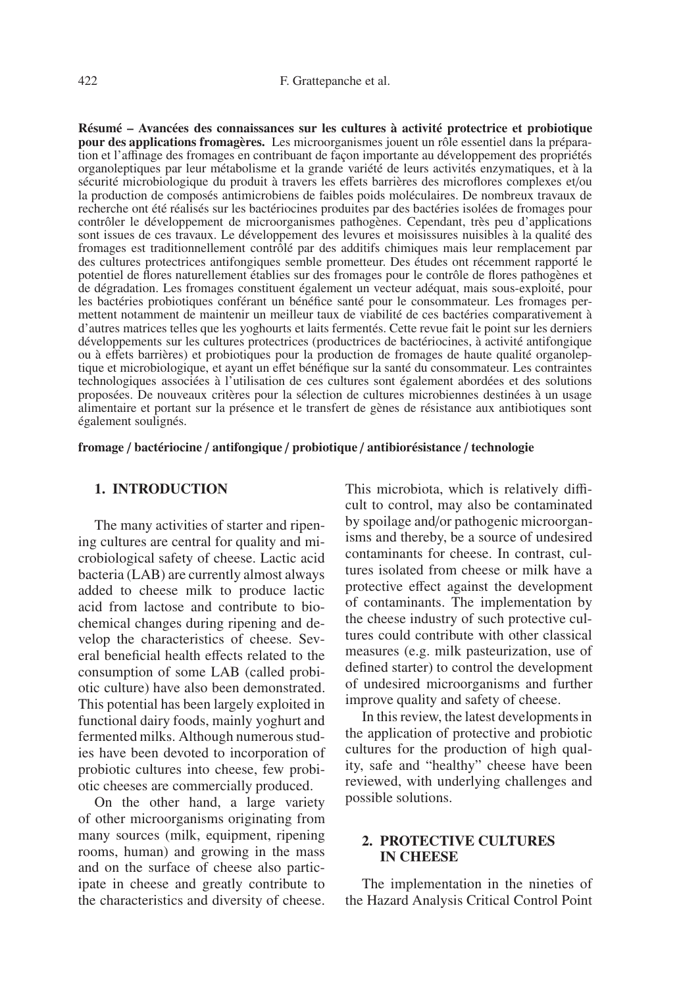**Résumé – Avancées des connaissances sur les cultures à activité protectrice et probiotique pour des applications fromagères.** Les microorganismes jouent un rôle essentiel dans la préparation et l'affinage des fromages en contribuant de façon importante au développement des propriétés organoleptiques par leur métabolisme et la grande variété de leurs activités enzymatiques, et à la sécurité microbiologique du produit à travers les effets barrières des microflores complexes et/ou la production de composés antimicrobiens de faibles poids moléculaires. De nombreux travaux de recherche ont été réalisés sur les bactériocines produites par des bactéries isolées de fromages pour contrôler le développement de microorganismes pathogènes. Cependant, très peu d'applications sont issues de ces travaux. Le développement des levures et moisissures nuisibles à la qualité des fromages est traditionnellement contrôlé par des additifs chimiques mais leur remplacement par des cultures protectrices antifongiques semble prometteur. Des études ont récemment rapporté le potentiel de flores naturellement établies sur des fromages pour le contrôle de flores pathogènes et de dégradation. Les fromages constituent également un vecteur adéquat, mais sous-exploité, pour les bactéries probiotiques conférant un bénéfice santé pour le consommateur. Les fromages permettent notamment de maintenir un meilleur taux de viabilité de ces bactéries comparativement à d'autres matrices telles que les yoghourts et laits fermentés. Cette revue fait le point sur les derniers développements sur les cultures protectrices (productrices de bactériocines, à activité antifongique ou à effets barrières) et probiotiques pour la production de fromages de haute qualité organoleptique et microbiologique, et ayant un effet bénéfique sur la santé du consommateur. Les contraintes technologiques associées à l'utilisation de ces cultures sont également abordées et des solutions proposées. De nouveaux critères pour la sélection de cultures microbiennes destinées à un usage alimentaire et portant sur la présence et le transfert de gènes de résistance aux antibiotiques sont également soulignés.

#### **fromage** / **bactériocine** / **antifongique** / **probiotique** / **antibiorésistance** / **technologie**

#### **1. INTRODUCTION**

The many activities of starter and ripening cultures are central for quality and microbiological safety of cheese. Lactic acid bacteria (LAB) are currently almost always added to cheese milk to produce lactic acid from lactose and contribute to biochemical changes during ripening and develop the characteristics of cheese. Several beneficial health effects related to the consumption of some LAB (called probiotic culture) have also been demonstrated. This potential has been largely exploited in functional dairy foods, mainly yoghurt and fermented milks. Although numerous studies have been devoted to incorporation of probiotic cultures into cheese, few probiotic cheeses are commercially produced.

On the other hand, a large variety of other microorganisms originating from many sources (milk, equipment, ripening rooms, human) and growing in the mass and on the surface of cheese also participate in cheese and greatly contribute to the characteristics and diversity of cheese. This microbiota, which is relatively difficult to control, may also be contaminated by spoilage and/or pathogenic microorganisms and thereby, be a source of undesired contaminants for cheese. In contrast, cultures isolated from cheese or milk have a protective effect against the development of contaminants. The implementation by the cheese industry of such protective cultures could contribute with other classical measures (e.g. milk pasteurization, use of defined starter) to control the development of undesired microorganisms and further improve quality and safety of cheese.

In this review, the latest developments in the application of protective and probiotic cultures for the production of high quality, safe and "healthy" cheese have been reviewed, with underlying challenges and possible solutions.

### **2. PROTECTIVE CULTURES IN CHEESE**

The implementation in the nineties of the Hazard Analysis Critical Control Point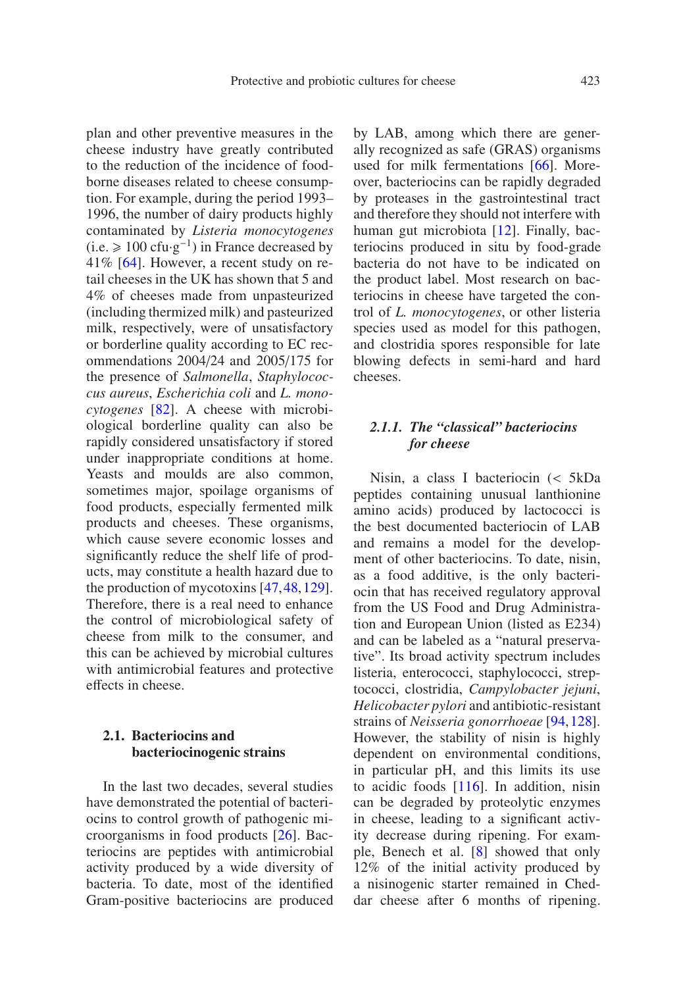plan and other preventive measures in the cheese industry have greatly contributed to the reduction of the incidence of foodborne diseases related to cheese consumption. For example, during the period 1993– 1996, the number of dairy products highly contaminated by *Listeria monocytogenes* (i.e.  $\geq 100 \text{ cftu·g}^{-1}$ ) in France decreased by 41% [\[64\]](#page-19-0). However, a recent study on retail cheeses in the UK has shown that 5 and 4% of cheeses made from unpasteurized (including thermized milk) and pasteurized milk, respectively, were of unsatisfactory or borderline quality according to EC recommendations 2004/24 and 2005/175 for the presence of *Salmonella*, *Staphylococcus aureus*, *Escherichia coli* and *L. monocytogenes* [\[82](#page-20-0)]. A cheese with microbiological borderline quality can also be rapidly considered unsatisfactory if stored under inappropriate conditions at home. Yeasts and moulds are also common, sometimes major, spoilage organisms of food products, especially fermented milk products and cheeses. These organisms, which cause severe economic losses and significantly reduce the shelf life of products, may constitute a health hazard due to the production of mycotoxins [\[47](#page-19-1)[,48,](#page-19-2)[129\]](#page-23-0). Therefore, there is a real need to enhance the control of microbiological safety of cheese from milk to the consumer, and this can be achieved by microbial cultures with antimicrobial features and protective effects in cheese.

# **2.1. Bacteriocins and bacteriocinogenic strains**

In the last two decades, several studies have demonstrated the potential of bacteriocins to control growth of pathogenic microorganisms in food products [\[26](#page-18-0)]. Bacteriocins are peptides with antimicrobial activity produced by a wide diversity of bacteria. To date, most of the identified Gram-positive bacteriocins are produced by LAB, among which there are generally recognized as safe (GRAS) organisms used for milk fermentations [\[66\]](#page-20-1). Moreover, bacteriocins can be rapidly degraded by proteases in the gastrointestinal tract and therefore they should not interfere with human gut microbiota [\[12\]](#page-17-0). Finally, bacteriocins produced in situ by food-grade bacteria do not have to be indicated on the product label. Most research on bacteriocins in cheese have targeted the control of *L. monocytogenes*, or other listeria species used as model for this pathogen, and clostridia spores responsible for late blowing defects in semi-hard and hard cheeses.

# *2.1.1. The "classical" bacteriocins for cheese*

Nisin, a class I bacteriocin (< 5kDa peptides containing unusual lanthionine amino acids) produced by lactococci is the best documented bacteriocin of LAB and remains a model for the development of other bacteriocins. To date, nisin, as a food additive, is the only bacteriocin that has received regulatory approval from the US Food and Drug Administration and European Union (listed as E234) and can be labeled as a "natural preservative". Its broad activity spectrum includes listeria, enterococci, staphylococci, streptococci, clostridia, *Campylobacter jejuni*, *Helicobacter pylori* and antibiotic-resistant strains of *Neisseria gonorrhoeae* [\[94,](#page-21-0)[128\]](#page-23-1). However, the stability of nisin is highly dependent on environmental conditions, in particular pH, and this limits its use to acidic foods  $[116]$ . In addition, nisin can be degraded by proteolytic enzymes in cheese, leading to a significant activity decrease during ripening. For example, Benech et al. [\[8\]](#page-17-1) showed that only 12% of the initial activity produced by a nisinogenic starter remained in Cheddar cheese after 6 months of ripening.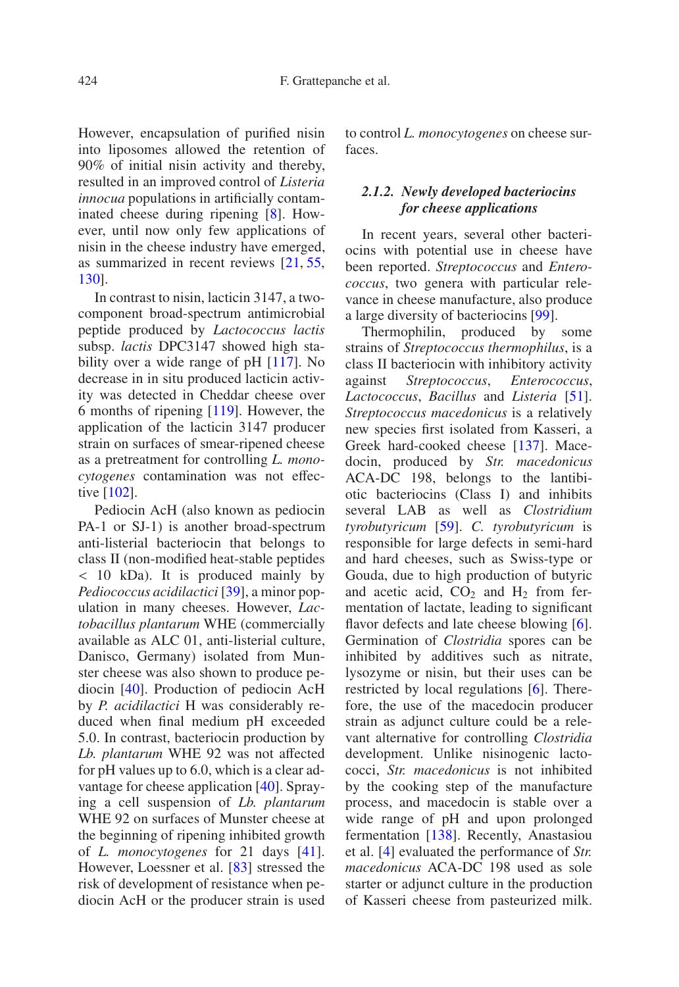However, encapsulation of purified nisin into liposomes allowed the retention of 90% of initial nisin activity and thereby, resulted in an improved control of *Listeria innocua* populations in artificially contaminated cheese during ripening [\[8](#page-17-1)]. However, until now only few applications of nisin in the cheese industry have emerged, as summarized in recent reviews [\[21,](#page-17-2) [55,](#page-19-3) [130\]](#page-23-2).

In contrast to nisin, lacticin 3147, a twocomponent broad-spectrum antimicrobial peptide produced by *Lactococcus lactis* subsp. *lactis* DPC3147 showed high stability over a wide range of pH [\[117\]](#page-22-1). No decrease in in situ produced lacticin activity was detected in Cheddar cheese over 6 months of ripening [\[119\]](#page-22-2). However, the application of the lacticin 3147 producer strain on surfaces of smear-ripened cheese as a pretreatment for controlling *L. monocytogenes* contamination was not effective [\[102](#page-21-1)].

Pediocin AcH (also known as pediocin PA-1 or SJ-1) is another broad-spectrum anti-listerial bacteriocin that belongs to class II (non-modified heat-stable peptides < 10 kDa). It is produced mainly by *Pediococcus acidilactici* [\[39\]](#page-18-1), a minor population in many cheeses. However, *Lactobacillus plantarum* WHE (commercially available as ALC 01, anti-listerial culture, Danisco, Germany) isolated from Munster cheese was also shown to produce pediocin [\[40](#page-18-2)]. Production of pediocin AcH by *P. acidilactici* H was considerably reduced when final medium pH exceeded 5.0. In contrast, bacteriocin production by *Lb. plantarum* WHE 92 was not affected for pH values up to 6.0, which is a clear advantage for cheese application [\[40](#page-18-2)]. Spraying a cell suspension of *Lb. plantarum* WHE 92 on surfaces of Munster cheese at the beginning of ripening inhibited growth of *L. monocytogenes* for 21 days [\[41](#page-18-3)]. However, Loessner et al. [\[83\]](#page-20-2) stressed the risk of development of resistance when pediocin AcH or the producer strain is used to control *L. monocytogenes* on cheese surfaces.

# *2.1.2. Newly developed bacteriocins for cheese applications*

In recent years, several other bacteriocins with potential use in cheese have been reported. *Streptococcus* and *Enterococcus*, two genera with particular relevance in cheese manufacture, also produce a large diversity of bacteriocins [\[99\]](#page-21-2).

Thermophilin, produced by some strains of *Streptococcus thermophilus*, is a class II bacteriocin with inhibitory activity against *Streptococcus*, *Enterococcus*, *Lactococcus*, *Bacillus* and *Listeria* [\[51\]](#page-19-4). *Streptococcus macedonicus* is a relatively new species first isolated from Kasseri, a Greek hard-cooked cheese [\[137\]](#page-23-3). Macedocin, produced by *Str. macedonicus* ACA-DC 198, belongs to the lantibiotic bacteriocins (Class I) and inhibits several LAB as well as *Clostridium tyrobutyricum* [\[59](#page-19-5)]. *C. tyrobutyricum* is responsible for large defects in semi-hard and hard cheeses, such as Swiss-type or Gouda, due to high production of butyric and acetic acid,  $CO<sub>2</sub>$  and  $H<sub>2</sub>$  from fermentation of lactate, leading to significant flavor defects and late cheese blowing [\[6](#page-17-3)]. Germination of *Clostridia* spores can be inhibited by additives such as nitrate, lysozyme or nisin, but their uses can be restricted by local regulations [\[6\]](#page-17-3). Therefore, the use of the macedocin producer strain as adjunct culture could be a relevant alternative for controlling *Clostridia* development. Unlike nisinogenic lactococci, *Str. macedonicus* is not inhibited by the cooking step of the manufacture process, and macedocin is stable over a wide range of pH and upon prolonged fermentation [\[138\]](#page-23-4). Recently, Anastasiou et al. [\[4](#page-17-4)] evaluated the performance of *Str. macedonicus* ACA-DC 198 used as sole starter or adjunct culture in the production of Kasseri cheese from pasteurized milk.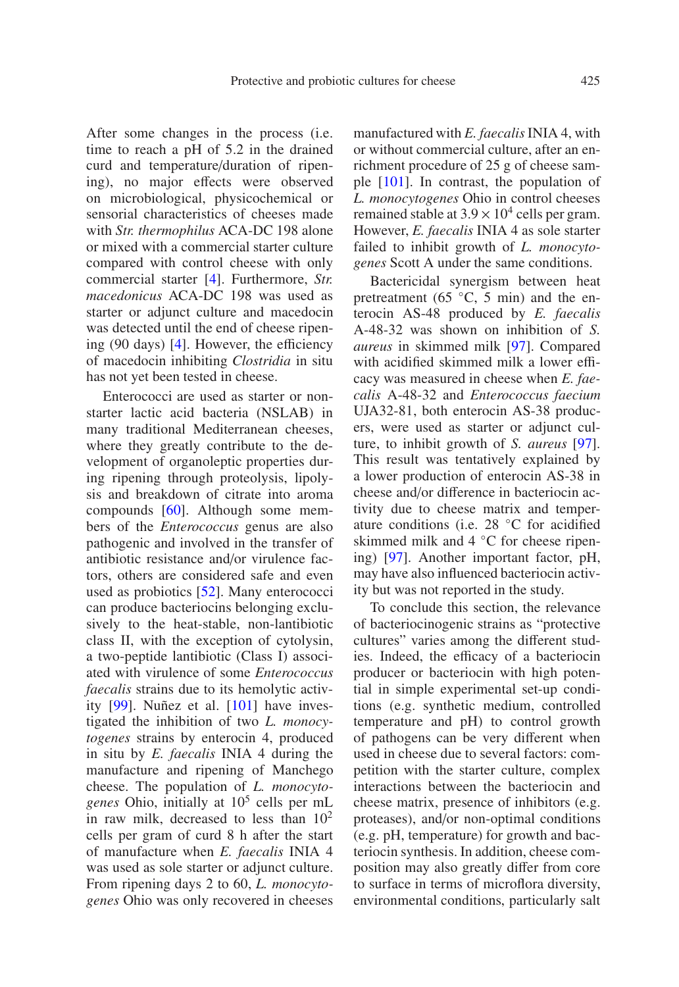After some changes in the process (i.e. time to reach a pH of 5.2 in the drained curd and temperature/duration of ripening), no major effects were observed on microbiological, physicochemical or sensorial characteristics of cheeses made with *Str. thermophilus* ACA-DC 198 alone or mixed with a commercial starter culture compared with control cheese with only commercial starter [\[4](#page-17-4)]. Furthermore, *Str. macedonicus* ACA-DC 198 was used as starter or adjunct culture and macedocin was detected until the end of cheese ripening (90 days) [\[4](#page-17-4)]. However, the efficiency of macedocin inhibiting *Clostridia* in situ has not yet been tested in cheese.

Enterococci are used as starter or nonstarter lactic acid bacteria (NSLAB) in many traditional Mediterranean cheeses, where they greatly contribute to the development of organoleptic properties during ripening through proteolysis, lipolysis and breakdown of citrate into aroma compounds [\[60\]](#page-19-6). Although some members of the *Enterococcus* genus are also pathogenic and involved in the transfer of antibiotic resistance and/or virulence factors, others are considered safe and even used as probiotics [\[52\]](#page-19-7). Many enterococci can produce bacteriocins belonging exclusively to the heat-stable, non-lantibiotic class II, with the exception of cytolysin, a two-peptide lantibiotic (Class I) associated with virulence of some *Enterococcus faecalis* strains due to its hemolytic activity [\[99](#page-21-2)]. Nuñez et al. [\[101\]](#page-21-3) have investigated the inhibition of two *L. monocytogenes* strains by enterocin 4, produced in situ by *E. faecalis* INIA 4 during the manufacture and ripening of Manchego cheese. The population of *L. monocytogenes* Ohio, initially at 10<sup>5</sup> cells per mL in raw milk, decreased to less than  $10<sup>2</sup>$ cells per gram of curd 8 h after the start of manufacture when *E. faecalis* INIA 4 was used as sole starter or adjunct culture. From ripening days 2 to 60, *L. monocytogenes* Ohio was only recovered in cheeses manufactured with *E. faecalis*INIA 4, with or without commercial culture, after an enrichment procedure of 25 g of cheese sample [\[101](#page-21-3)]. In contrast, the population of *L. monocytogenes* Ohio in control cheeses remained stable at  $3.9 \times 10^4$  cells per gram. However, *E. faecalis* INIA 4 as sole starter failed to inhibit growth of *L. monocytogenes* Scott A under the same conditions.

Bactericidal synergism between heat pretreatment (65 $°C$ , 5 min) and the enterocin AS-48 produced by *E. faecalis* A-48-32 was shown on inhibition of *S. aureus* in skimmed milk [\[97\]](#page-21-4). Compared with acidified skimmed milk a lower efficacy was measured in cheese when *E. faecalis* A-48-32 and *Enterococcus faecium* UJA32-81, both enterocin AS-38 producers, were used as starter or adjunct culture, to inhibit growth of *S. aureus* [\[97\]](#page-21-4). This result was tentatively explained by a lower production of enterocin AS-38 in cheese and/or difference in bacteriocin activity due to cheese matrix and temperature conditions (i.e. 28 ◦C for acidified skimmed milk and 4 ◦C for cheese ripening) [\[97\]](#page-21-4). Another important factor, pH, may have also influenced bacteriocin activity but was not reported in the study.

To conclude this section, the relevance of bacteriocinogenic strains as "protective cultures" varies among the different studies. Indeed, the efficacy of a bacteriocin producer or bacteriocin with high potential in simple experimental set-up conditions (e.g. synthetic medium, controlled temperature and pH) to control growth of pathogens can be very different when used in cheese due to several factors: competition with the starter culture, complex interactions between the bacteriocin and cheese matrix, presence of inhibitors (e.g. proteases), and/or non-optimal conditions (e.g. pH, temperature) for growth and bacteriocin synthesis. In addition, cheese composition may also greatly differ from core to surface in terms of microflora diversity, environmental conditions, particularly salt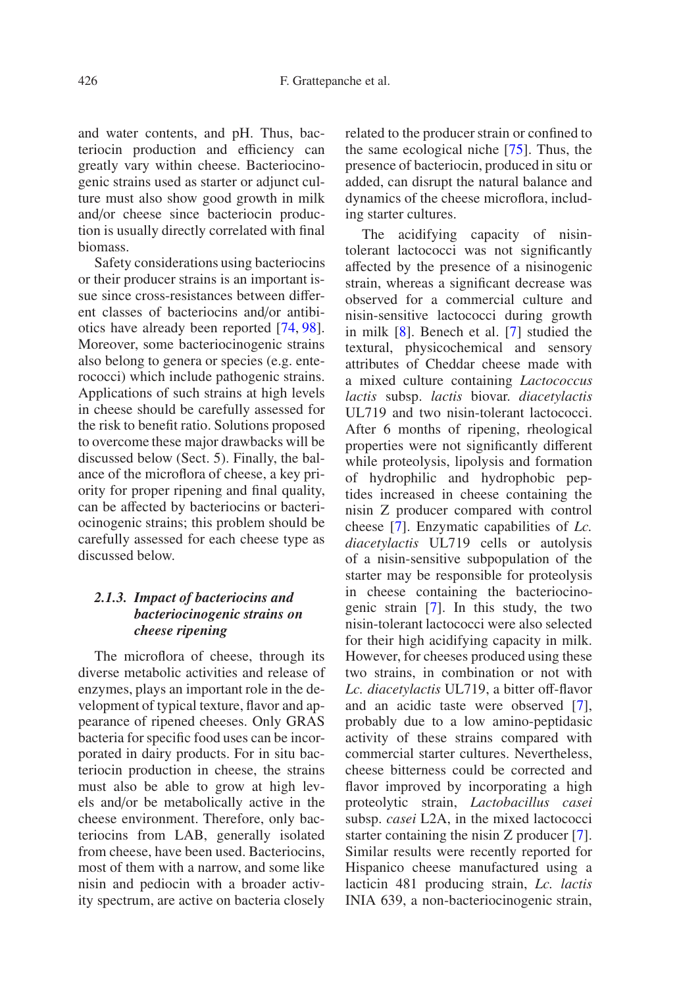and water contents, and pH. Thus, bacteriocin production and efficiency can greatly vary within cheese. Bacteriocinogenic strains used as starter or adjunct culture must also show good growth in milk and/or cheese since bacteriocin production is usually directly correlated with final biomass.

Safety considerations using bacteriocins or their producer strains is an important issue since cross-resistances between different classes of bacteriocins and/or antibiotics have already been reported [\[74,](#page-20-3) [98](#page-21-5)]. Moreover, some bacteriocinogenic strains also belong to genera or species (e.g. enterococci) which include pathogenic strains. Applications of such strains at high levels in cheese should be carefully assessed for the risk to benefit ratio. Solutions proposed to overcome these major drawbacks will be discussed below (Sect. 5). Finally, the balance of the microflora of cheese, a key priority for proper ripening and final quality, can be affected by bacteriocins or bacteriocinogenic strains; this problem should be carefully assessed for each cheese type as discussed below.

### *2.1.3. Impact of bacteriocins and bacteriocinogenic strains on cheese ripening*

The microflora of cheese, through its diverse metabolic activities and release of enzymes, plays an important role in the development of typical texture, flavor and appearance of ripened cheeses. Only GRAS bacteria for specific food uses can be incorporated in dairy products. For in situ bacteriocin production in cheese, the strains must also be able to grow at high levels and/or be metabolically active in the cheese environment. Therefore, only bacteriocins from LAB, generally isolated from cheese, have been used. Bacteriocins, most of them with a narrow, and some like nisin and pediocin with a broader activity spectrum, are active on bacteria closely related to the producer strain or confined to the same ecological niche [\[75\]](#page-20-4). Thus, the presence of bacteriocin, produced in situ or added, can disrupt the natural balance and dynamics of the cheese microflora, including starter cultures.

The acidifying capacity of nisintolerant lactococci was not significantly affected by the presence of a nisinogenic strain, whereas a significant decrease was observed for a commercial culture and nisin-sensitive lactococci during growth in milk [\[8](#page-17-1)]. Benech et al. [\[7](#page-17-5)] studied the textural, physicochemical and sensory attributes of Cheddar cheese made with a mixed culture containing *Lactococcus lactis* subsp. *lactis* biovar. *diacetylactis* UL719 and two nisin-tolerant lactococci. After 6 months of ripening, rheological properties were not significantly different while proteolysis, lipolysis and formation of hydrophilic and hydrophobic peptides increased in cheese containing the nisin Z producer compared with control cheese [\[7](#page-17-5)]. Enzymatic capabilities of *Lc. diacetylactis* UL719 cells or autolysis of a nisin-sensitive subpopulation of the starter may be responsible for proteolysis in cheese containing the bacteriocinogenic strain [\[7](#page-17-5)]. In this study, the two nisin-tolerant lactococci were also selected for their high acidifying capacity in milk. However, for cheeses produced using these two strains, in combination or not with *Lc. diacetylactis* UL719, a bitter off-flavor and an acidic taste were observed [\[7](#page-17-5)], probably due to a low amino-peptidasic activity of these strains compared with commercial starter cultures. Nevertheless, cheese bitterness could be corrected and flavor improved by incorporating a high proteolytic strain, *Lactobacillus casei* subsp. *casei* L2A, in the mixed lactococci starter containing the nisin Z producer [\[7](#page-17-5)]. Similar results were recently reported for Hispanico cheese manufactured using a lacticin 481 producing strain, *Lc. lactis* INIA 639, a non-bacteriocinogenic strain,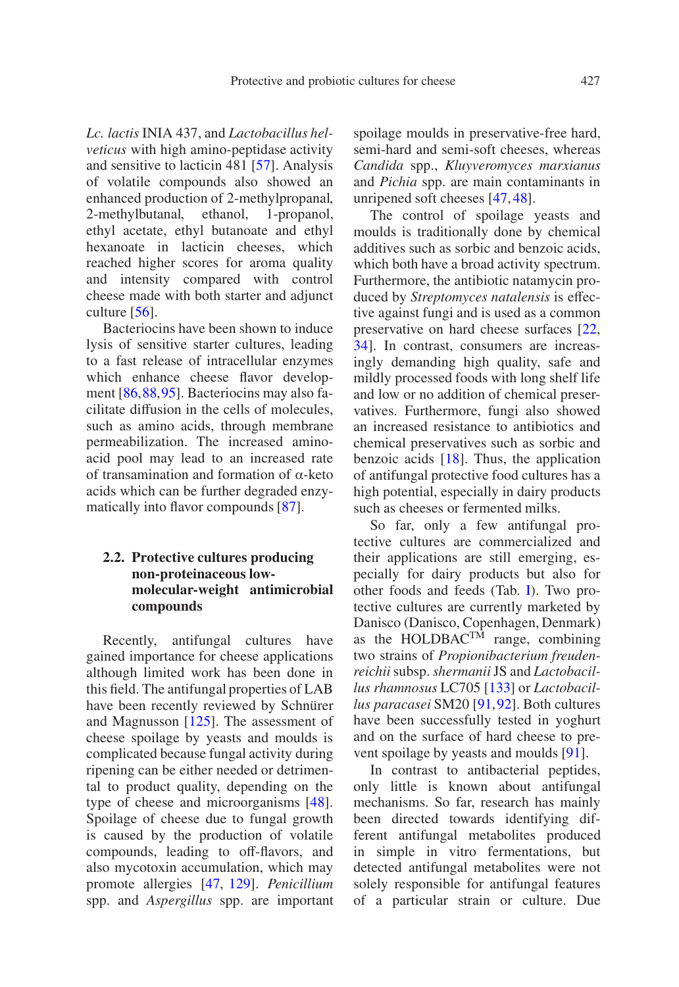*Lc. lactis* INIA 437, and *Lactobacillus helveticus* with high amino-peptidase activity and sensitive to lacticin 481 [\[57\]](#page-19-8). Analysis of volatile compounds also showed an enhanced production of 2-methylpropanal, 2-methylbutanal, ethanol, 1-propanol, ethyl acetate, ethyl butanoate and ethyl hexanoate in lacticin cheeses, which reached higher scores for aroma quality and intensity compared with control cheese made with both starter and adjunct culture [\[56\]](#page-19-9).

Bacteriocins have been shown to induce lysis of sensitive starter cultures, leading to a fast release of intracellular enzymes which enhance cheese flavor development [\[86](#page-21-6)[,88](#page-21-7)[,95](#page-21-8)]. Bacteriocins may also facilitate diffusion in the cells of molecules, such as amino acids, through membrane permeabilization. The increased aminoacid pool may lead to an increased rate of transamination and formation of α-keto acids which can be further degraded enzymatically into flavor compounds [\[87](#page-21-9)].

## **2.2. Protective cultures producing non-proteinaceous lowmolecular-weight antimicrobial compounds**

Recently, antifungal cultures have gained importance for cheese applications although limited work has been done in this field. The antifungal properties of LAB have been recently reviewed by Schnürer and Magnusson [\[125](#page-22-3)]. The assessment of cheese spoilage by yeasts and moulds is complicated because fungal activity during ripening can be either needed or detrimental to product quality, depending on the type of cheese and microorganisms [\[48\]](#page-19-2). Spoilage of cheese due to fungal growth is caused by the production of volatile compounds, leading to off-flavors, and also mycotoxin accumulation, which may promote allergies [\[47,](#page-19-1) [129\]](#page-23-0). *Penicillium* spp. and *Aspergillus* spp. are important spoilage moulds in preservative-free hard, semi-hard and semi-soft cheeses, whereas *Candida* spp., *Kluyveromyces marxianus* and *Pichia* spp. are main contaminants in unripened soft cheeses [\[47,](#page-19-1) [48\]](#page-19-2).

The control of spoilage yeasts and moulds is traditionally done by chemical additives such as sorbic and benzoic acids, which both have a broad activity spectrum. Furthermore, the antibiotic natamycin produced by *Streptomyces natalensis* is effective against fungi and is used as a common preservative on hard cheese surfaces [\[22](#page-17-6), [34\]](#page-18-4). In contrast, consumers are increasingly demanding high quality, safe and mildly processed foods with long shelf life and low or no addition of chemical preservatives. Furthermore, fungi also showed an increased resistance to antibiotics and chemical preservatives such as sorbic and benzoic acids [\[18\]](#page-17-7). Thus, the application of antifungal protective food cultures has a high potential, especially in dairy products such as cheeses or fermented milks.

So far, only a few antifungal protective cultures are commercialized and their applications are still emerging, especially for dairy products but also for other foods and feeds (Tab. [I\)](#page-7-0). Two protective cultures are currently marketed by Danisco (Danisco, Copenhagen, Denmark) as the HOLDBAC $T^{\dot{M}}$  range, combining two strains of *Propionibacterium freudenreichii*subsp. *shermanii*JS and *Lactobacillus rhamnosus* LC705 [\[133\]](#page-23-5) or *Lactobacillus paracasei* SM20 [\[91](#page-21-10),[92\]](#page-21-11). Both cultures have been successfully tested in yoghurt and on the surface of hard cheese to prevent spoilage by yeasts and moulds [\[91](#page-21-10)].

In contrast to antibacterial peptides, only little is known about antifungal mechanisms. So far, research has mainly been directed towards identifying different antifungal metabolites produced in simple in vitro fermentations, but detected antifungal metabolites were not solely responsible for antifungal features of a particular strain or culture. Due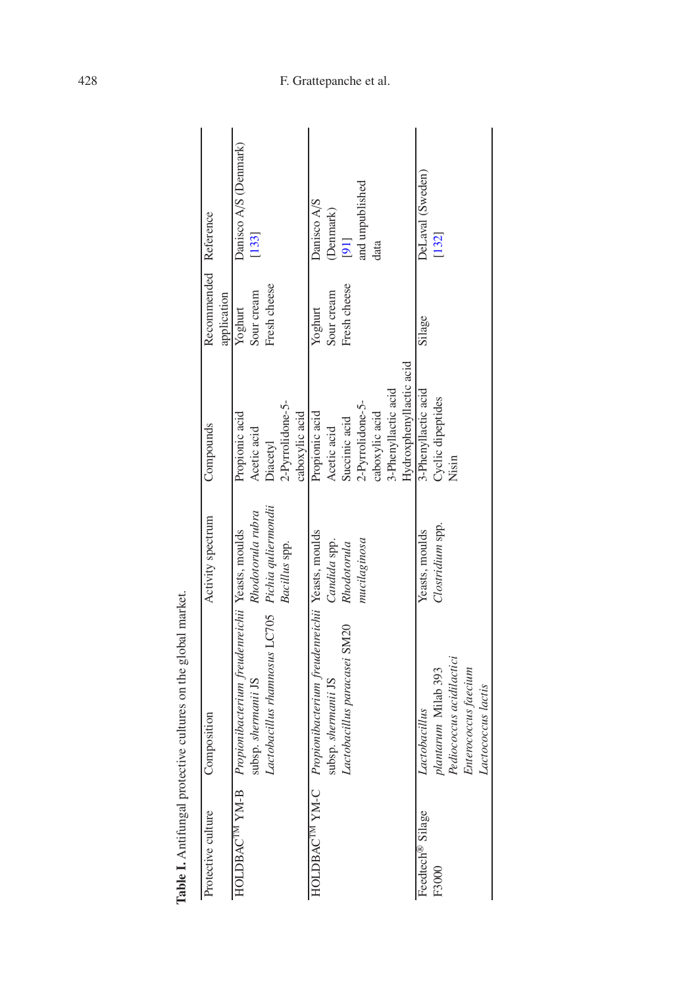|                                       | Table I. Antifungal protective cultures on the global market.                                                               |                                             |                                                                                                                                        |                                       |                                                             |
|---------------------------------------|-----------------------------------------------------------------------------------------------------------------------------|---------------------------------------------|----------------------------------------------------------------------------------------------------------------------------------------|---------------------------------------|-------------------------------------------------------------|
| Protective culture                    | Composition                                                                                                                 | Activity spectrum                           | Compounds                                                                                                                              | Recommended Reference<br>application  |                                                             |
| HOLDBAC <sup>TM</sup> YM-B            | Lactobacillus rhannosus LC705 Pichia quliermondii<br>Propionibacterium freudenreichii Yeasts, moulds<br>subsp. shermanii JS | Rhodotorula rubra<br>Bacillus spp.          | 2-Pyrrolidone-5-<br>caboxylic acid<br>Propionic acid<br>Acetic acid<br>Diacetyl                                                        | Fresh cheese<br>Sour cream<br>Yoghurt | Danisco A/S (Denmark)<br>[133]                              |
| HOLDBAC <sup>IM</sup> YM-C            | Propionibacterium freudenreichii Yeasts, moulds<br>Lactobacillus paracasei SM20<br>subsp. shermanii JS                      | Candida spp.<br>mucilaginosa<br>Rhodotorula | Hydroxphenyllactic acid<br>3-Phenyllactic acid<br>2-Pyrrolidone-5-<br>caboxylic acid<br>Propionic acid<br>Succinic acid<br>Acetic acid | Fresh cheese<br>Sour cream<br>Yoghurt | and unpublished<br>Danisco A/S<br>(Denmark)<br>[91]<br>data |
| Feedtech <sup>®</sup> Silage<br>F3000 | Pediococcus acidilactici<br>plantarum Milab 393<br>Enterococcus faecium<br>Lactococcus lactis<br>Lactobacillus              | Clostridium spp.<br>Yeasts, moulds          | 3-Phenyllactic acid<br>Cyclic dipeptides<br>Nisin                                                                                      | Silage                                | DeLaval (Sweden)<br>[132]                                   |

<span id="page-7-0"></span>Table I. Antifungal protective cultures on the global market.

# 428 F. Grattepanche et al.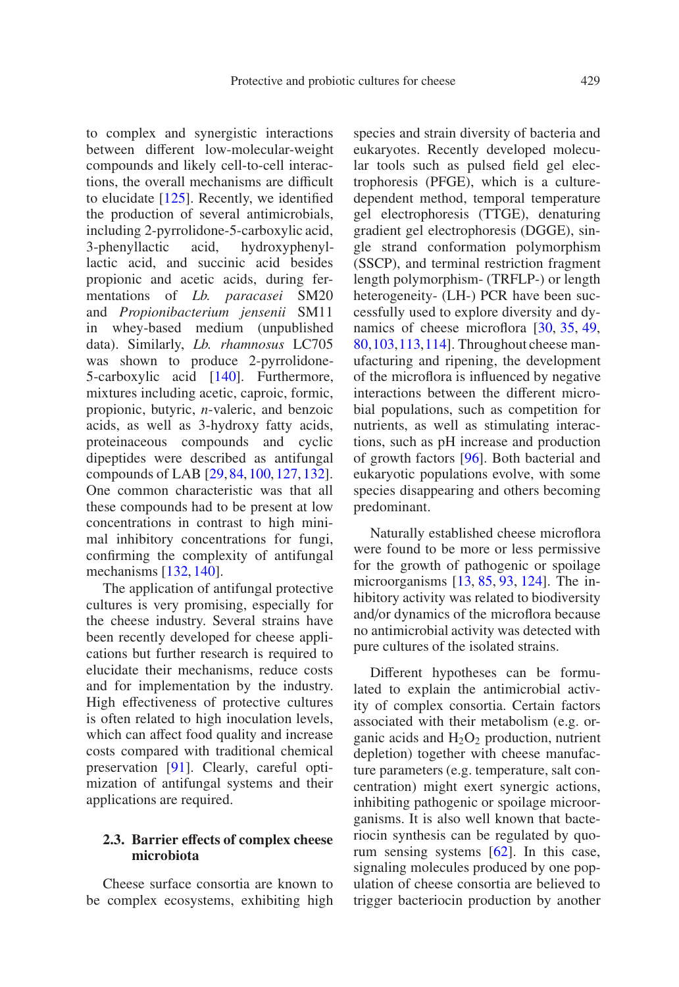to complex and synergistic interactions between different low-molecular-weight compounds and likely cell-to-cell interactions, the overall mechanisms are difficult to elucidate [\[125\]](#page-22-3). Recently, we identified the production of several antimicrobials, including 2-pyrrolidone-5-carboxylic acid, 3-phenyllactic acid, hydroxyphenyllactic acid, and succinic acid besides propionic and acetic acids, during fermentations of *Lb. paracasei* SM20 and *Propionibacterium jensenii* SM11 in whey-based medium (unpublished data). Similarly, *Lb. rhamnosus* LC705 was shown to produce 2-pyrrolidone-5-carboxylic acid [\[140\]](#page-23-7). Furthermore, mixtures including acetic, caproic, formic, propionic, butyric, *n*-valeric, and benzoic acids, as well as 3-hydroxy fatty acids, proteinaceous compounds and cyclic dipeptides were described as antifungal compounds of LAB [\[29](#page-18-5),[84,](#page-20-5)[100,](#page-21-12)[127](#page-23-8),[132\]](#page-23-6). One common characteristic was that all these compounds had to be present at low concentrations in contrast to high minimal inhibitory concentrations for fungi, confirming the complexity of antifungal mechanisms [\[132,](#page-23-6) [140](#page-23-7)].

The application of antifungal protective cultures is very promising, especially for the cheese industry. Several strains have been recently developed for cheese applications but further research is required to elucidate their mechanisms, reduce costs and for implementation by the industry. High effectiveness of protective cultures is often related to high inoculation levels, which can affect food quality and increase costs compared with traditional chemical preservation [\[91\]](#page-21-10). Clearly, careful optimization of antifungal systems and their applications are required.

#### **2.3. Barrier e**ff**ects of complex cheese microbiota**

Cheese surface consortia are known to be complex ecosystems, exhibiting high species and strain diversity of bacteria and eukaryotes. Recently developed molecular tools such as pulsed field gel electrophoresis (PFGE), which is a culturedependent method, temporal temperature gel electrophoresis (TTGE), denaturing gradient gel electrophoresis (DGGE), single strand conformation polymorphism (SSCP), and terminal restriction fragment length polymorphism- (TRFLP-) or length heterogeneity- (LH-) PCR have been successfully used to explore diversity and dynamics of cheese microflora [\[30,](#page-18-6) [35](#page-18-7), [49](#page-19-10), [80](#page-20-6)[,103](#page-21-13)[,113](#page-22-4)[,114\]](#page-22-5). Throughout cheese manufacturing and ripening, the development of the microflora is influenced by negative interactions between the different microbial populations, such as competition for nutrients, as well as stimulating interactions, such as pH increase and production of growth factors [\[96](#page-21-14)]. Both bacterial and eukaryotic populations evolve, with some species disappearing and others becoming predominant.

Naturally established cheese microflora were found to be more or less permissive for the growth of pathogenic or spoilage microorganisms [\[13,](#page-17-8) [85,](#page-20-7) [93](#page-21-15), [124\]](#page-22-6). The inhibitory activity was related to biodiversity and/or dynamics of the microflora because no antimicrobial activity was detected with pure cultures of the isolated strains.

Different hypotheses can be formulated to explain the antimicrobial activity of complex consortia. Certain factors associated with their metabolism (e.g. organic acids and  $H_2O_2$  production, nutrient depletion) together with cheese manufacture parameters (e.g. temperature, salt concentration) might exert synergic actions, inhibiting pathogenic or spoilage microorganisms. It is also well known that bacteriocin synthesis can be regulated by quorum sensing systems [\[62](#page-19-11)]. In this case, signaling molecules produced by one population of cheese consortia are believed to trigger bacteriocin production by another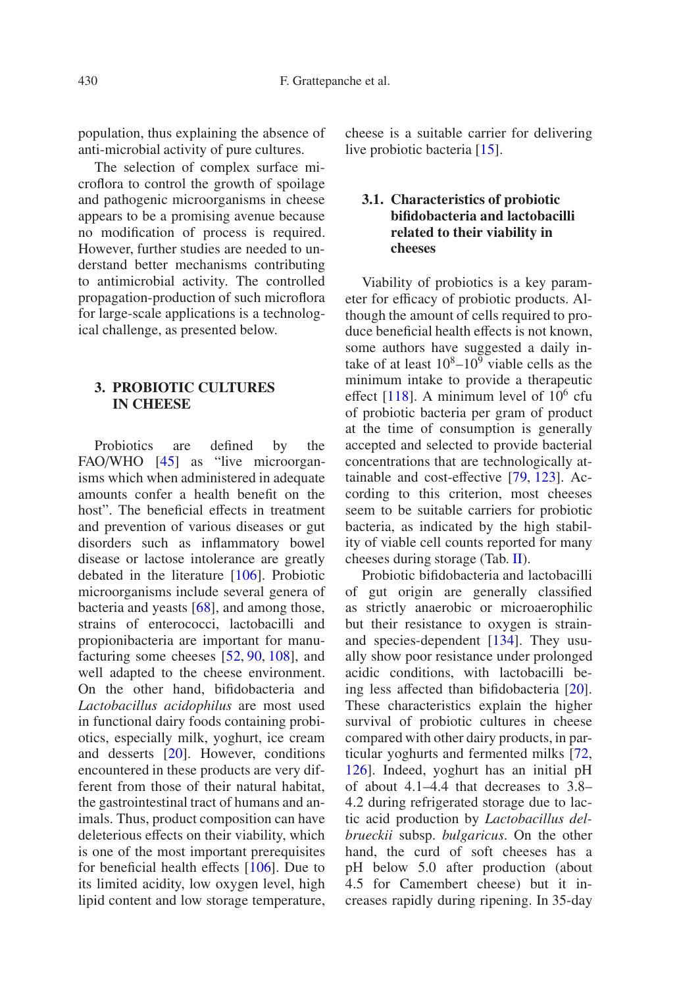population, thus explaining the absence of anti-microbial activity of pure cultures.

The selection of complex surface microflora to control the growth of spoilage and pathogenic microorganisms in cheese appears to be a promising avenue because no modification of process is required. However, further studies are needed to understand better mechanisms contributing to antimicrobial activity. The controlled propagation-production of such microflora for large-scale applications is a technological challenge, as presented below.

#### **3. PROBIOTIC CULTURES IN CHEESE**

Probiotics are defined by the FAO/WHO [\[45](#page-19-12)] as "live microorganisms which when administered in adequate amounts confer a health benefit on the host". The beneficial effects in treatment and prevention of various diseases or gut disorders such as inflammatory bowel disease or lactose intolerance are greatly debated in the literature [\[106](#page-22-7)]. Probiotic microorganisms include several genera of bacteria and yeasts [\[68](#page-20-8)], and among those, strains of enterococci, lactobacilli and propionibacteria are important for manufacturing some cheeses [\[52,](#page-19-7) [90](#page-21-16), [108\]](#page-22-8), and well adapted to the cheese environment. On the other hand, bifidobacteria and *Lactobacillus acidophilus* are most used in functional dairy foods containing probiotics, especially milk, yoghurt, ice cream and desserts [\[20\]](#page-17-9). However, conditions encountered in these products are very different from those of their natural habitat, the gastrointestinal tract of humans and animals. Thus, product composition can have deleterious effects on their viability, which is one of the most important prerequisites for beneficial health effects [\[106\]](#page-22-7). Due to its limited acidity, low oxygen level, high lipid content and low storage temperature, cheese is a suitable carrier for delivering live probiotic bacteria [\[15\]](#page-17-10).

## **3.1. Characteristics of probiotic bifidobacteria and lactobacilli related to their viability in cheeses**

Viability of probiotics is a key parameter for efficacy of probiotic products. Although the amount of cells required to produce beneficial health effects is not known, some authors have suggested a daily intake of at least  $10^8 - 10^9$  viable cells as the minimum intake to provide a therapeutic effect [\[118\]](#page-22-9). A minimum level of  $10^6$  cfu of probiotic bacteria per gram of product at the time of consumption is generally accepted and selected to provide bacterial concentrations that are technologically attainable and cost-effective [\[79](#page-20-9), [123](#page-22-10)]. According to this criterion, most cheeses seem to be suitable carriers for probiotic bacteria, as indicated by the high stability of viable cell counts reported for many cheeses during storage (Tab. [II\)](#page-11-0).

Probiotic bifidobacteria and lactobacilli of gut origin are generally classified as strictly anaerobic or microaerophilic but their resistance to oxygen is strainand species-dependent [\[134\]](#page-23-9). They usually show poor resistance under prolonged acidic conditions, with lactobacilli being less affected than bifidobacteria [\[20\]](#page-17-9). These characteristics explain the higher survival of probiotic cultures in cheese compared with other dairy products, in particular yoghurts and fermented milks [\[72,](#page-20-10) [126](#page-22-11)]. Indeed, yoghurt has an initial pH of about 4.1–4.4 that decreases to 3.8– 4.2 during refrigerated storage due to lactic acid production by *Lactobacillus delbrueckii* subsp. *bulgaricus*. On the other hand, the curd of soft cheeses has a pH below 5.0 after production (about 4.5 for Camembert cheese) but it increases rapidly during ripening. In 35-day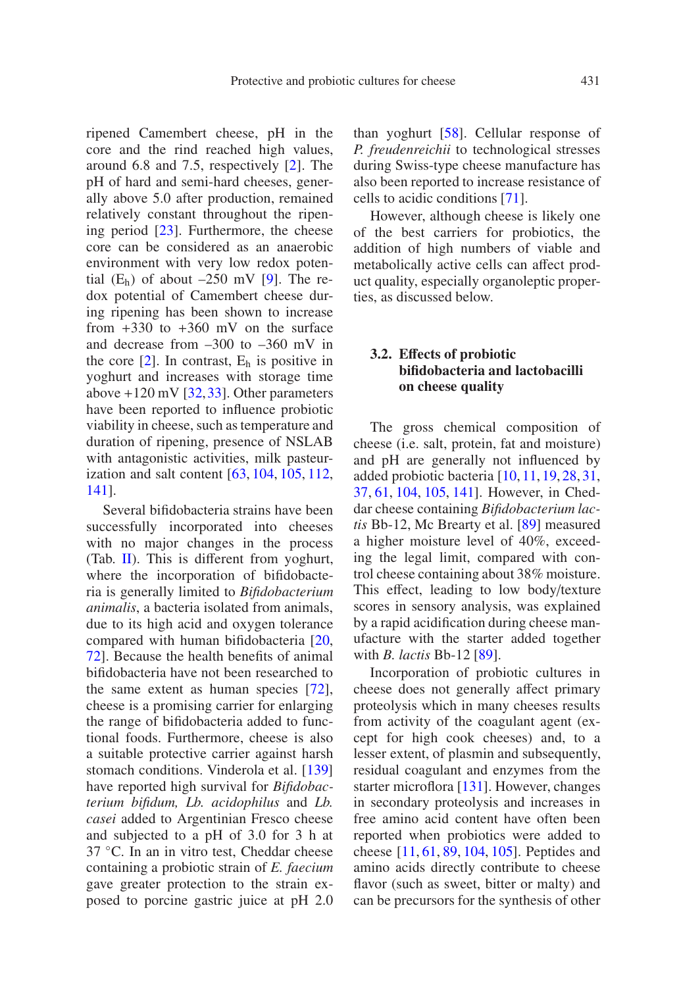ripened Camembert cheese, pH in the core and the rind reached high values, around 6.8 and 7.5, respectively [\[2](#page-17-11)]. The pH of hard and semi-hard cheeses, generally above 5.0 after production, remained relatively constant throughout the ripening period [\[23\]](#page-17-12). Furthermore, the cheese core can be considered as an anaerobic environment with very low redox potential  $(E_h)$  of about  $-250$  mV [\[9\]](#page-17-13). The redox potential of Camembert cheese during ripening has been shown to increase from  $+330$  to  $+360$  mV on the surface and decrease from –300 to –360 mV in the core  $[2]$  $[2]$ . In contrast,  $E_h$  is positive in yoghurt and increases with storage time above  $+120$  mV [\[32,](#page-18-8) [33\]](#page-18-9). Other parameters have been reported to influence probiotic viability in cheese, such as temperature and duration of ripening, presence of NSLAB with antagonistic activities, milk pasteurization and salt content [\[63,](#page-19-13) [104,](#page-21-17) [105,](#page-21-18) [112](#page-22-12), [141\]](#page-23-10).

Several bifidobacteria strains have been successfully incorporated into cheeses with no major changes in the process (Tab. [II\)](#page-11-0). This is different from yoghurt, where the incorporation of bifidobacteria is generally limited to *Bifidobacterium animalis*, a bacteria isolated from animals, due to its high acid and oxygen tolerance compared with human bifidobacteria [\[20](#page-17-9), [72\]](#page-20-10). Because the health benefits of animal bifidobacteria have not been researched to the same extent as human species [\[72\]](#page-20-10), cheese is a promising carrier for enlarging the range of bifidobacteria added to functional foods. Furthermore, cheese is also a suitable protective carrier against harsh stomach conditions. Vinderola et al. [\[139\]](#page-23-11) have reported high survival for *Bifidobacterium bifidum, Lb. acidophilus* and *Lb. casei* added to Argentinian Fresco cheese and subjected to a pH of 3.0 for 3 h at 37 ◦C. In an in vitro test, Cheddar cheese containing a probiotic strain of *E. faecium* gave greater protection to the strain exposed to porcine gastric juice at pH 2.0 than yoghurt [\[58](#page-19-14)]. Cellular response of *P. freudenreichii* to technological stresses during Swiss-type cheese manufacture has also been reported to increase resistance of cells to acidic conditions [\[71](#page-20-11)].

However, although cheese is likely one of the best carriers for probiotics, the addition of high numbers of viable and metabolically active cells can affect product quality, especially organoleptic properties, as discussed below.

## **3.2. E**ff**ects of probiotic bifidobacteria and lactobacilli on cheese quality**

The gross chemical composition of cheese (i.e. salt, protein, fat and moisture) and pH are generally not influenced by added probiotic bacteria [\[10](#page-17-14), [11,](#page-17-15) [19,](#page-17-16) [28,](#page-18-10) [31](#page-18-11), [37,](#page-18-12) [61](#page-19-15), [104,](#page-21-17) [105,](#page-21-18) [141\]](#page-23-10). However, in Cheddar cheese containing *Bifidobacterium lactis* Bb-12, Mc Brearty et al. [\[89\]](#page-21-19) measured a higher moisture level of 40%, exceeding the legal limit, compared with control cheese containing about 38% moisture. This effect, leading to low body/texture scores in sensory analysis, was explained by a rapid acidification during cheese manufacture with the starter added together with *B. lactis* Bb-12 [\[89\]](#page-21-19).

Incorporation of probiotic cultures in cheese does not generally affect primary proteolysis which in many cheeses results from activity of the coagulant agent (except for high cook cheeses) and, to a lesser extent, of plasmin and subsequently, residual coagulant and enzymes from the starter microflora [\[131](#page-23-12)]. However, changes in secondary proteolysis and increases in free amino acid content have often been reported when probiotics were added to cheese [\[11,](#page-17-15) [61,](#page-19-15) [89](#page-21-19), [104,](#page-21-17) [105\]](#page-21-18). Peptides and amino acids directly contribute to cheese flavor (such as sweet, bitter or malty) and can be precursors for the synthesis of other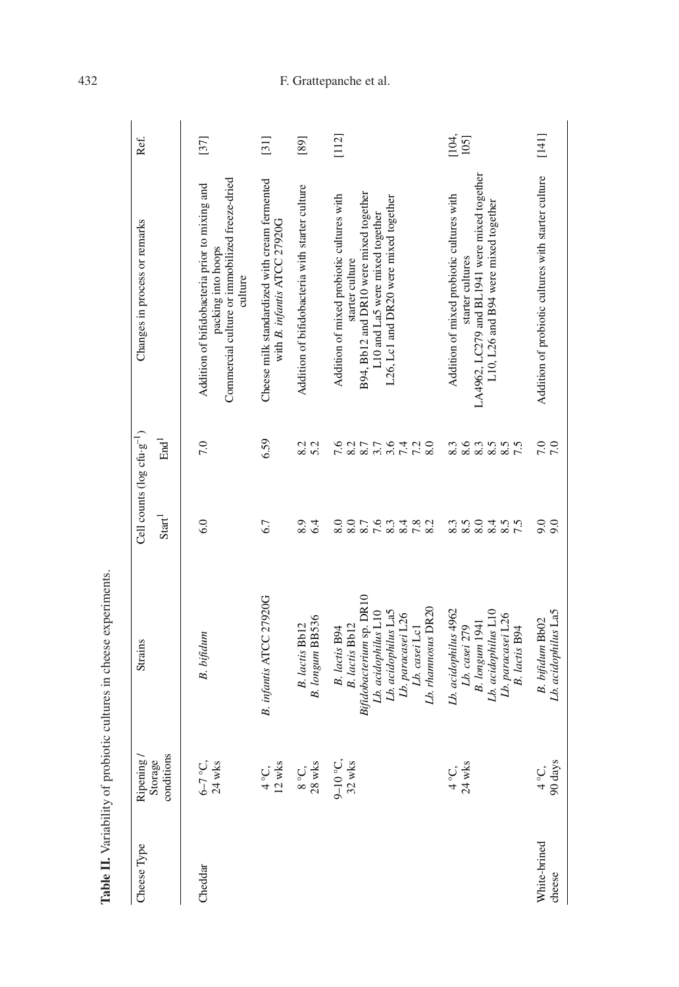|                        |                          | Table II. Variability of probiotic cultures in cheese experiments                                                                                                     |                                                      |                           |                                                                                                                                                                                    |                                    |
|------------------------|--------------------------|-----------------------------------------------------------------------------------------------------------------------------------------------------------------------|------------------------------------------------------|---------------------------|------------------------------------------------------------------------------------------------------------------------------------------------------------------------------------|------------------------------------|
| Cheese Type            | Ripening/                | Strains                                                                                                                                                               | Cell counts $(\log ctu \cdot g^{-1})$                |                           | Changes in process or remarks                                                                                                                                                      | Ref.                               |
|                        | conditions<br>Storage    |                                                                                                                                                                       | Start <sup>1</sup>                                   | End <sup>1</sup>          |                                                                                                                                                                                    |                                    |
| Cheddar                | $6-7$ °C,<br>24 wks      | B. bifidum                                                                                                                                                            | 6.0                                                  | 7.0                       | Commercial culture or immobilized freeze-dried<br>Addition of bifidobacteria prior to mixing and<br>packing into hoops<br>culture                                                  | $[37]$                             |
|                        | $4^{\circ}$ C,<br>12 wks | B. infantis ATCC 27920G                                                                                                                                               | 6.7                                                  | 6.59                      | Cheese milk standardized with cream fermented<br>with B. infantis ATCC 27920G                                                                                                      | $\begin{bmatrix} 31 \end{bmatrix}$ |
|                        | $\frac{8}{28}$ wks       | B. longum BB536<br>B. lactis Bb12                                                                                                                                     | 8.9<br>6.4                                           | 8.2<br>5.2                | Addition of bifidobacteria with starter culture                                                                                                                                    | [89]                               |
|                        | $9-10$ °C,<br>32 wks     | Bifidobacterium sp. DR10<br>Lb. rhamnosus DR20<br>Lb. acidophilus La5<br>Lb. acidophilus L10<br>Lb. paracasei L26<br>B. lactis Bb12<br>Lb. casei Lc1<br>B. lactis B94 | $7.6$<br>8.3<br>$8.78$<br>$7.8$<br>8.0<br>8.7<br>8.0 | 7.6<br>8.0                | B94, Bb12 and DR10 were mixed together<br>Addition of mixed probiotic cultures with<br>L26, Lc1 and DR20 were mixed together<br>L10 and La5 were mixed together<br>starter culture | $[112]$                            |
|                        | $4 °C$<br>24 wks         | Lb. acidophilus 4962<br>Lb. acidophilus L10<br>Lb. paracasei L26<br>B. longum 1941<br>Lb. casei 279<br>B. lactis B94                                                  | $2887$<br>$75$<br>8.3<br>8.5<br>8.0                  | 8.3<br>8.6<br>8.58<br>7.5 | LA4962, LC279 and BL1941 were mixed together<br>Addition of mixed probiotic cultures with<br>L10, L26 and B94 were mixed together<br>starter cultures                              | [104,<br>105                       |
| White-brined<br>cheese | 90 days<br>$4^{\circ}C$  | Lb. acidophilus La5<br>B. bifidum Bb02                                                                                                                                | 9.0<br>9.0                                           | 7.0<br>7.0                | Addition of probiotic cultures with starter culture                                                                                                                                | $[141]$                            |

<span id="page-11-0"></span>Table II. Variability of probiotic cultures in cheese experiments.

# 432 F. Grattepanche et al.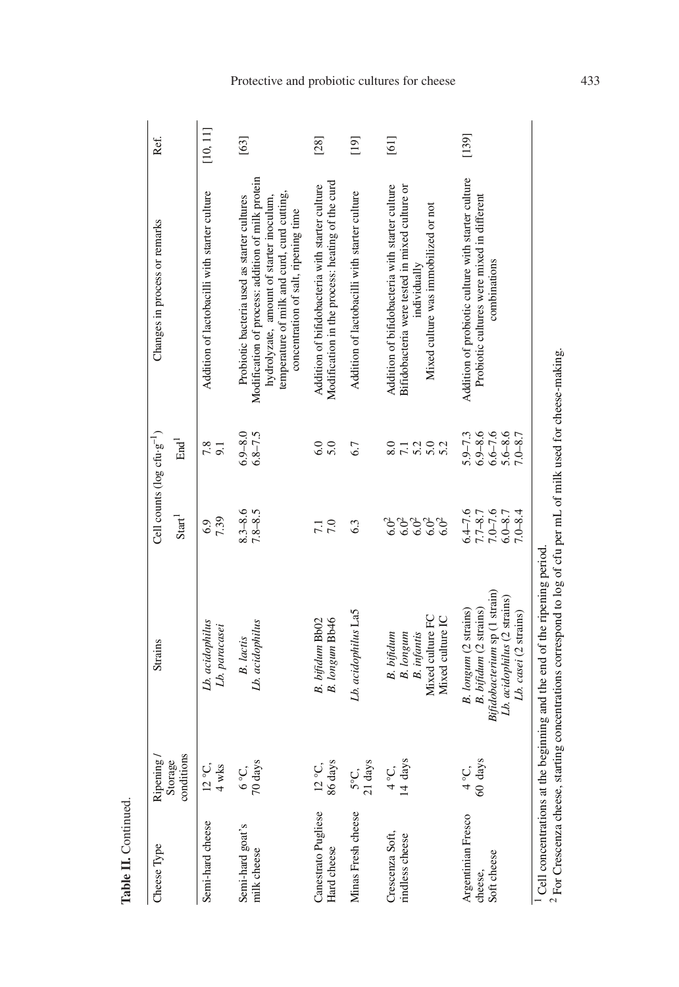| [10, 11]<br>[139]<br>Ref.<br>$[63]$<br>[28]<br>$[19]$<br>$\begin{array}{c} \boxed{61} \end{array}$<br>Addition of probiotic culture with starter culture<br>Modification of process: addition of milk protein<br>Modification in the process: heating of the curd<br>Addition of bifidobacteria with starter culture<br>Addition of bifidobacteria with starter culture<br>Bifidobacteria were tested in mixed culture or<br>Addition of lactobacilli with starter culture<br>Addition of lactobacilli with starter culture<br>temperature of milk and curd, curd cutting,<br>hydrolyzate, amount of starter inoculum,<br>Probiotic bacteria used as starter cultures<br>Probiotic cultures were mixed in different<br>Mixed culture was immobilized or not<br>concentration of salt, ripening time<br>Changes in process or remarks<br>combinations<br>individually<br>$6.8 - 7.5$<br>$5.9 - 7.3$<br>$6.9 - 8.6$<br>$6.6 - 7.6$<br>$5.6 - 8.6$<br>Cell counts ( $\log$ cfu·g <sup>-1</sup> )<br>$6.9 - 8.0$<br>$7.0 - 8.7$<br>$\text{End}^1$<br>7.8<br>6.0<br>5.2<br>5.0<br>8.0<br>5.2<br>6.7<br>$\overline{7.1}$<br>9.1<br>$8.3 - 8.6$<br>$6.4 - 7.6$<br>$7.8 - 8.5$<br>$7.7 - 8.7$<br>$7.0 - 7.6$<br>$6.0 - 8.7$<br>$7.0 - 8.4$<br>$Start^1$<br>7.39<br>९५५५५<br>७७७०<br>6.9<br>$\overline{7.1}$<br>7.0<br>6.3<br>Bifidobacterium sp (1 strain)<br>Lb. acidophilus (2 strains)<br>B. bifidum (2 strains)<br>B. longum (2 strains)<br>Lb. acidophilus La5<br>Lb. casei (2 strains)<br>Mixed culture FC<br>Mixed culture IC<br>B. bifidum Bb02<br>B. longum Bb46<br>Lb. acidophilus<br>Lb. acidophilus<br>Lb. paracasei<br><b>B.</b> infantis<br>B. bifidum<br><b>B.</b> longum<br><b>B.</b> lactis<br>Strains<br>conditions<br>Ripening<br>Storage<br>60 days<br>14 days<br>$70\,\mathrm{days}$<br>21 days<br>86 days<br>$12^{\circ}$ C,<br>$12\,^{\circ}\mathrm{C}$<br>$4 \text{ w}$ ks<br>$6^{\circ}$ C<br>$\mathbf{r}$<br>4 °C,<br>5°C,<br>$\mathbf{r}$<br>$\frac{6}{4}$<br>Canestrato Pugliese<br>Minas Fresh cheese<br>Argentinian Fresco<br>Semi-hard cheese<br>Semi-hard goat's<br>Crescenza Soft,<br>rindless cheese<br>Cheese Type<br>Hard cheese<br>milk cheese<br>Soft cheese<br>cheese, |  |  |  |  |
|-------------------------------------------------------------------------------------------------------------------------------------------------------------------------------------------------------------------------------------------------------------------------------------------------------------------------------------------------------------------------------------------------------------------------------------------------------------------------------------------------------------------------------------------------------------------------------------------------------------------------------------------------------------------------------------------------------------------------------------------------------------------------------------------------------------------------------------------------------------------------------------------------------------------------------------------------------------------------------------------------------------------------------------------------------------------------------------------------------------------------------------------------------------------------------------------------------------------------------------------------------------------------------------------------------------------------------------------------------------------------------------------------------------------------------------------------------------------------------------------------------------------------------------------------------------------------------------------------------------------------------------------------------------------------------------------------------------------------------------------------------------------------------------------------------------------------------------------------------------------------------------------------------------------------------------------------------------------------------------------------------------------------------------------------------------------------------------------------------------------------------------------------------------------------------------------------------|--|--|--|--|
|                                                                                                                                                                                                                                                                                                                                                                                                                                                                                                                                                                                                                                                                                                                                                                                                                                                                                                                                                                                                                                                                                                                                                                                                                                                                                                                                                                                                                                                                                                                                                                                                                                                                                                                                                                                                                                                                                                                                                                                                                                                                                                                                                                                                       |  |  |  |  |
|                                                                                                                                                                                                                                                                                                                                                                                                                                                                                                                                                                                                                                                                                                                                                                                                                                                                                                                                                                                                                                                                                                                                                                                                                                                                                                                                                                                                                                                                                                                                                                                                                                                                                                                                                                                                                                                                                                                                                                                                                                                                                                                                                                                                       |  |  |  |  |
|                                                                                                                                                                                                                                                                                                                                                                                                                                                                                                                                                                                                                                                                                                                                                                                                                                                                                                                                                                                                                                                                                                                                                                                                                                                                                                                                                                                                                                                                                                                                                                                                                                                                                                                                                                                                                                                                                                                                                                                                                                                                                                                                                                                                       |  |  |  |  |
|                                                                                                                                                                                                                                                                                                                                                                                                                                                                                                                                                                                                                                                                                                                                                                                                                                                                                                                                                                                                                                                                                                                                                                                                                                                                                                                                                                                                                                                                                                                                                                                                                                                                                                                                                                                                                                                                                                                                                                                                                                                                                                                                                                                                       |  |  |  |  |
|                                                                                                                                                                                                                                                                                                                                                                                                                                                                                                                                                                                                                                                                                                                                                                                                                                                                                                                                                                                                                                                                                                                                                                                                                                                                                                                                                                                                                                                                                                                                                                                                                                                                                                                                                                                                                                                                                                                                                                                                                                                                                                                                                                                                       |  |  |  |  |
|                                                                                                                                                                                                                                                                                                                                                                                                                                                                                                                                                                                                                                                                                                                                                                                                                                                                                                                                                                                                                                                                                                                                                                                                                                                                                                                                                                                                                                                                                                                                                                                                                                                                                                                                                                                                                                                                                                                                                                                                                                                                                                                                                                                                       |  |  |  |  |
|                                                                                                                                                                                                                                                                                                                                                                                                                                                                                                                                                                                                                                                                                                                                                                                                                                                                                                                                                                                                                                                                                                                                                                                                                                                                                                                                                                                                                                                                                                                                                                                                                                                                                                                                                                                                                                                                                                                                                                                                                                                                                                                                                                                                       |  |  |  |  |
|                                                                                                                                                                                                                                                                                                                                                                                                                                                                                                                                                                                                                                                                                                                                                                                                                                                                                                                                                                                                                                                                                                                                                                                                                                                                                                                                                                                                                                                                                                                                                                                                                                                                                                                                                                                                                                                                                                                                                                                                                                                                                                                                                                                                       |  |  |  |  |

**Table II.** Continued.

Table II. Continued.

 $^{2}$  For Crescenza cheese, starting concentrations correspond to log of cfu per mL of milk used for cheese-making. <sup>1</sup> Cell concentrations at the beginning and the end of the ripening period.<br><sup>2</sup> For Crescenza cheese, starting concentrations correspond to log of cfu per mL of milk used for cheese-making. <sup>1</sup> Cell concentrations at the beginning and the end of the ripening period.

# Protective and probiotic cultures for cheese 433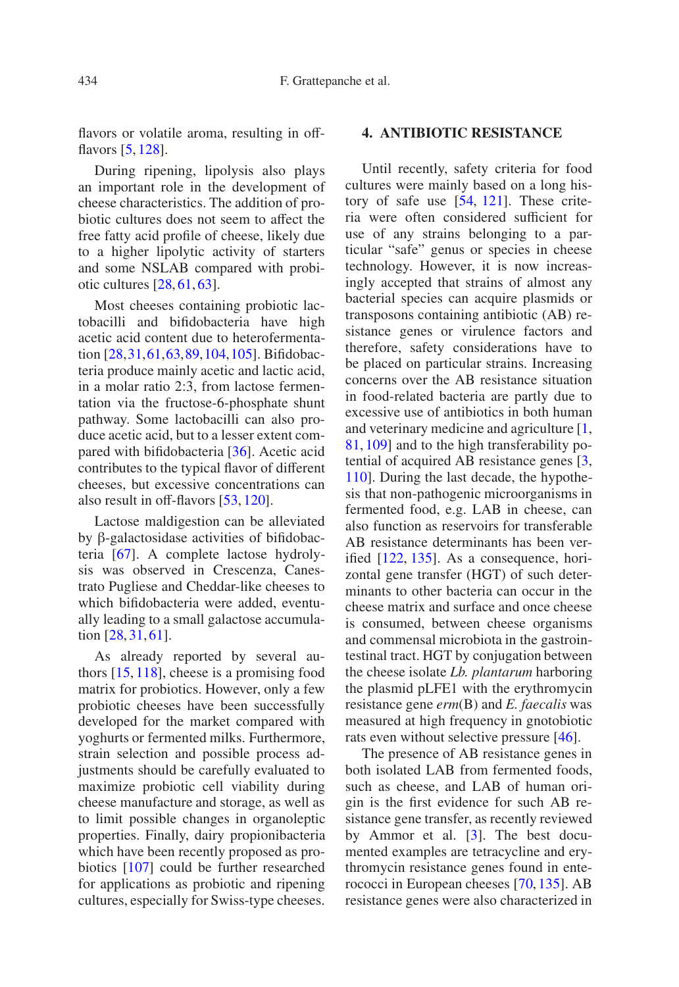flavors or volatile aroma, resulting in offflavors [\[5](#page-17-17), [128](#page-23-1)].

During ripening, lipolysis also plays an important role in the development of cheese characteristics. The addition of probiotic cultures does not seem to affect the free fatty acid profile of cheese, likely due to a higher lipolytic activity of starters and some NSLAB compared with probiotic cultures [\[28,](#page-18-10) [61](#page-19-15), [63](#page-19-13)].

Most cheeses containing probiotic lactobacilli and bifidobacteria have high acetic acid content due to heterofermentation [\[28](#page-18-10)[,31](#page-18-11)[,61](#page-19-15)[,63,](#page-19-13)[89,](#page-21-19)[104](#page-21-17)[,105\]](#page-21-18). Bifidobacteria produce mainly acetic and lactic acid, in a molar ratio 2:3, from lactose fermentation via the fructose-6-phosphate shunt pathway. Some lactobacilli can also produce acetic acid, but to a lesser extent compared with bifidobacteria [\[36](#page-18-13)]. Acetic acid contributes to the typical flavor of different cheeses, but excessive concentrations can also result in off-flavors [\[53](#page-19-16), [120\]](#page-22-13).

Lactose maldigestion can be alleviated by β-galactosidase activities of bifidobacteria [\[67](#page-20-12)]. A complete lactose hydrolysis was observed in Crescenza, Canestrato Pugliese and Cheddar-like cheeses to which bifidobacteria were added, eventually leading to a small galactose accumulation [\[28](#page-18-10), [31,](#page-18-11) [61\]](#page-19-15).

As already reported by several authors [\[15,](#page-17-10) [118\]](#page-22-9), cheese is a promising food matrix for probiotics. However, only a few probiotic cheeses have been successfully developed for the market compared with yoghurts or fermented milks. Furthermore, strain selection and possible process adjustments should be carefully evaluated to maximize probiotic cell viability during cheese manufacture and storage, as well as to limit possible changes in organoleptic properties. Finally, dairy propionibacteria which have been recently proposed as probiotics [\[107\]](#page-22-14) could be further researched for applications as probiotic and ripening cultures, especially for Swiss-type cheeses.

#### **4. ANTIBIOTIC RESISTANCE**

Until recently, safety criteria for food cultures were mainly based on a long history of safe use [\[54,](#page-19-17) [121\]](#page-22-15). These criteria were often considered sufficient for use of any strains belonging to a particular "safe" genus or species in cheese technology. However, it is now increasingly accepted that strains of almost any bacterial species can acquire plasmids or transposons containing antibiotic (AB) resistance genes or virulence factors and therefore, safety considerations have to be placed on particular strains. Increasing concerns over the AB resistance situation in food-related bacteria are partly due to excessive use of antibiotics in both human and veterinary medicine and agriculture [\[1,](#page-16-0) [81](#page-20-13), [109\]](#page-22-16) and to the high transferability potential of acquired AB resistance genes [\[3,](#page-17-18) [110](#page-22-17)]. During the last decade, the hypothesis that non-pathogenic microorganisms in fermented food, e.g. LAB in cheese, can also function as reservoirs for transferable AB resistance determinants has been verified [\[122](#page-22-18), [135\]](#page-23-13). As a consequence, horizontal gene transfer (HGT) of such determinants to other bacteria can occur in the cheese matrix and surface and once cheese is consumed, between cheese organisms and commensal microbiota in the gastrointestinal tract. HGT by conjugation between the cheese isolate *Lb. plantarum* harboring the plasmid pLFE1 with the erythromycin resistance gene *erm*(B) and *E. faecalis* was measured at high frequency in gnotobiotic rats even without selective pressure [\[46\]](#page-19-18).

The presence of AB resistance genes in both isolated LAB from fermented foods, such as cheese, and LAB of human origin is the first evidence for such AB resistance gene transfer, as recently reviewed by Ammor et al. [\[3](#page-17-18)]. The best documented examples are tetracycline and erythromycin resistance genes found in enterococci in European cheeses [\[70](#page-20-14), [135](#page-23-13)]. AB resistance genes were also characterized in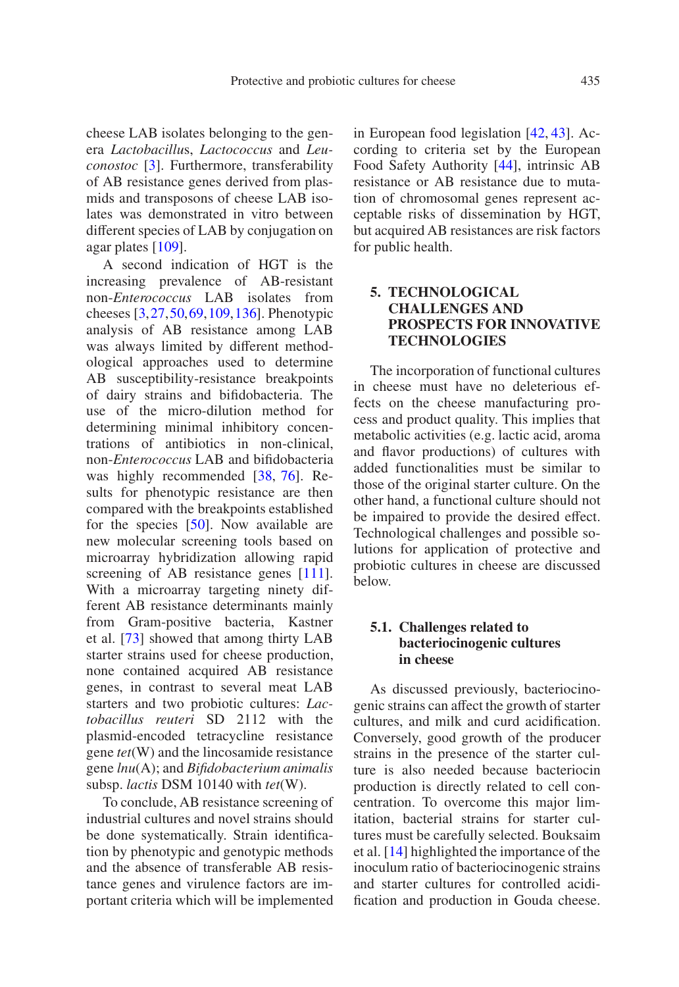cheese LAB isolates belonging to the genera *Lactobacillu*s, *Lactococcus* and *Leuconostoc* [\[3\]](#page-17-18). Furthermore, transferability of AB resistance genes derived from plasmids and transposons of cheese LAB isolates was demonstrated in vitro between different species of LAB by conjugation on agar plates [\[109](#page-22-16)].

A second indication of HGT is the increasing prevalence of AB-resistant non-*Enterococcus* LAB isolates from cheeses [\[3,](#page-17-18)[27](#page-18-14)[,50](#page-19-19)[,69](#page-20-15),[109,](#page-22-16)[136\]](#page-23-14). Phenotypic analysis of AB resistance among LAB was always limited by different methodological approaches used to determine AB susceptibility-resistance breakpoints of dairy strains and bifidobacteria. The use of the micro-dilution method for determining minimal inhibitory concentrations of antibiotics in non-clinical, non-*Enterococcus* LAB and bifidobacteria was highly recommended [\[38,](#page-18-15) [76\]](#page-20-16). Results for phenotypic resistance are then compared with the breakpoints established for the species [\[50](#page-19-19)]. Now available are new molecular screening tools based on microarray hybridization allowing rapid screening of AB resistance genes [\[111\]](#page-22-19). With a microarray targeting ninety different AB resistance determinants mainly from Gram-positive bacteria, Kastner et al. [\[73](#page-20-17)] showed that among thirty LAB starter strains used for cheese production, none contained acquired AB resistance genes, in contrast to several meat LAB starters and two probiotic cultures: *Lactobacillus reuteri* SD 2112 with the plasmid-encoded tetracycline resistance gene *tet*(W) and the lincosamide resistance gene *lnu*(A); and *Bifidobacterium animalis* subsp. *lactis* DSM 10140 with *tet*(W).

To conclude, AB resistance screening of industrial cultures and novel strains should be done systematically. Strain identification by phenotypic and genotypic methods and the absence of transferable AB resistance genes and virulence factors are important criteria which will be implemented in European food legislation [\[42,](#page-18-16) [43\]](#page-18-17). According to criteria set by the European Food Safety Authority [\[44\]](#page-19-20), intrinsic AB resistance or AB resistance due to mutation of chromosomal genes represent acceptable risks of dissemination by HGT, but acquired AB resistances are risk factors for public health.

## **5. TECHNOLOGICAL CHALLENGES AND PROSPECTS FOR INNOVATIVE TECHNOLOGIES**

The incorporation of functional cultures in cheese must have no deleterious effects on the cheese manufacturing process and product quality. This implies that metabolic activities (e.g. lactic acid, aroma and flavor productions) of cultures with added functionalities must be similar to those of the original starter culture. On the other hand, a functional culture should not be impaired to provide the desired effect. Technological challenges and possible solutions for application of protective and probiotic cultures in cheese are discussed below.

#### **5.1. Challenges related to bacteriocinogenic cultures in cheese**

As discussed previously, bacteriocinogenic strains can affect the growth of starter cultures, and milk and curd acidification. Conversely, good growth of the producer strains in the presence of the starter culture is also needed because bacteriocin production is directly related to cell concentration. To overcome this major limitation, bacterial strains for starter cultures must be carefully selected. Bouksaim et al. [\[14\]](#page-17-19) highlighted the importance of the inoculum ratio of bacteriocinogenic strains and starter cultures for controlled acidification and production in Gouda cheese.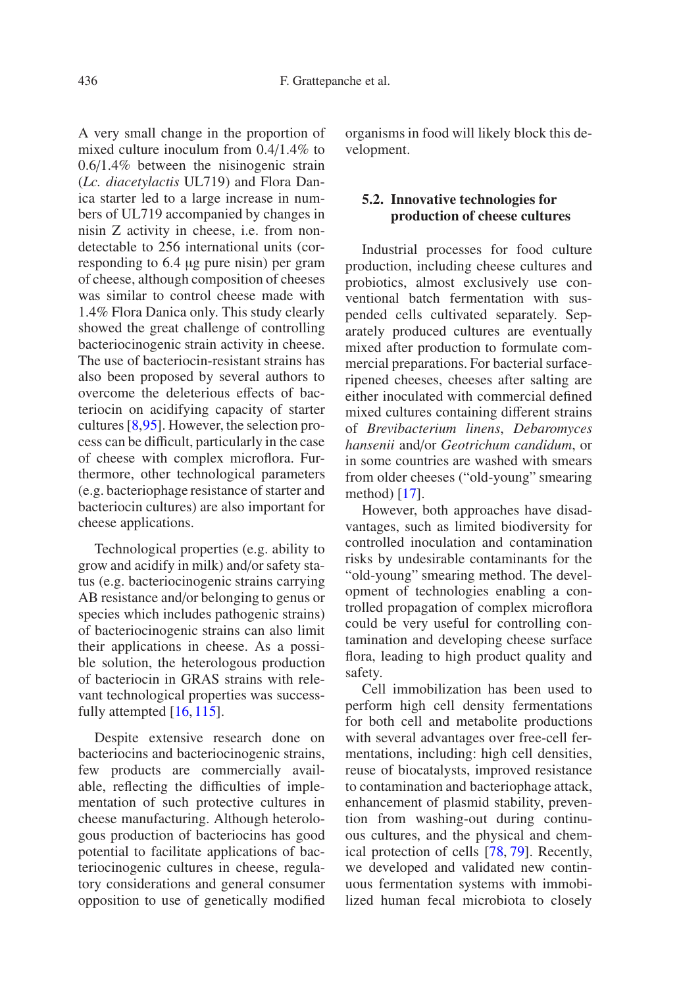A very small change in the proportion of mixed culture inoculum from 0.4/1.4% to 0.6/1.4% between the nisinogenic strain (*Lc. diacetylactis* UL719) and Flora Danica starter led to a large increase in numbers of UL719 accompanied by changes in nisin Z activity in cheese, i.e. from nondetectable to 256 international units (corresponding to 6.4 μg pure nisin) per gram of cheese, although composition of cheeses was similar to control cheese made with 1.4% Flora Danica only. This study clearly showed the great challenge of controlling bacteriocinogenic strain activity in cheese. The use of bacteriocin-resistant strains has also been proposed by several authors to overcome the deleterious effects of bacteriocin on acidifying capacity of starter cultures [\[8,](#page-17-1)[95\]](#page-21-8). However, the selection process can be difficult, particularly in the case of cheese with complex microflora. Furthermore, other technological parameters (e.g. bacteriophage resistance of starter and bacteriocin cultures) are also important for cheese applications.

Technological properties (e.g. ability to grow and acidify in milk) and/or safety status (e.g. bacteriocinogenic strains carrying AB resistance and/or belonging to genus or species which includes pathogenic strains) of bacteriocinogenic strains can also limit their applications in cheese. As a possible solution, the heterologous production of bacteriocin in GRAS strains with relevant technological properties was successfully attempted [\[16](#page-17-20), [115\]](#page-22-20).

Despite extensive research done on bacteriocins and bacteriocinogenic strains, few products are commercially available, reflecting the difficulties of implementation of such protective cultures in cheese manufacturing. Although heterologous production of bacteriocins has good potential to facilitate applications of bacteriocinogenic cultures in cheese, regulatory considerations and general consumer opposition to use of genetically modified organisms in food will likely block this development.

## **5.2. Innovative technologies for production of cheese cultures**

Industrial processes for food culture production, including cheese cultures and probiotics, almost exclusively use conventional batch fermentation with suspended cells cultivated separately. Separately produced cultures are eventually mixed after production to formulate commercial preparations. For bacterial surfaceripened cheeses, cheeses after salting are either inoculated with commercial defined mixed cultures containing different strains of *Brevibacterium linens*, *Debaromyces hansenii* and/or *Geotrichum candidum*, or in some countries are washed with smears from older cheeses ("old-young" smearing method) [\[17](#page-17-21)].

However, both approaches have disadvantages, such as limited biodiversity for controlled inoculation and contamination risks by undesirable contaminants for the "old-young" smearing method. The development of technologies enabling a controlled propagation of complex microflora could be very useful for controlling contamination and developing cheese surface flora, leading to high product quality and safety.

Cell immobilization has been used to perform high cell density fermentations for both cell and metabolite productions with several advantages over free-cell fermentations, including: high cell densities, reuse of biocatalysts, improved resistance to contamination and bacteriophage attack, enhancement of plasmid stability, prevention from washing-out during continuous cultures, and the physical and chemical protection of cells [\[78](#page-20-18), [79\]](#page-20-9). Recently, we developed and validated new continuous fermentation systems with immobilized human fecal microbiota to closely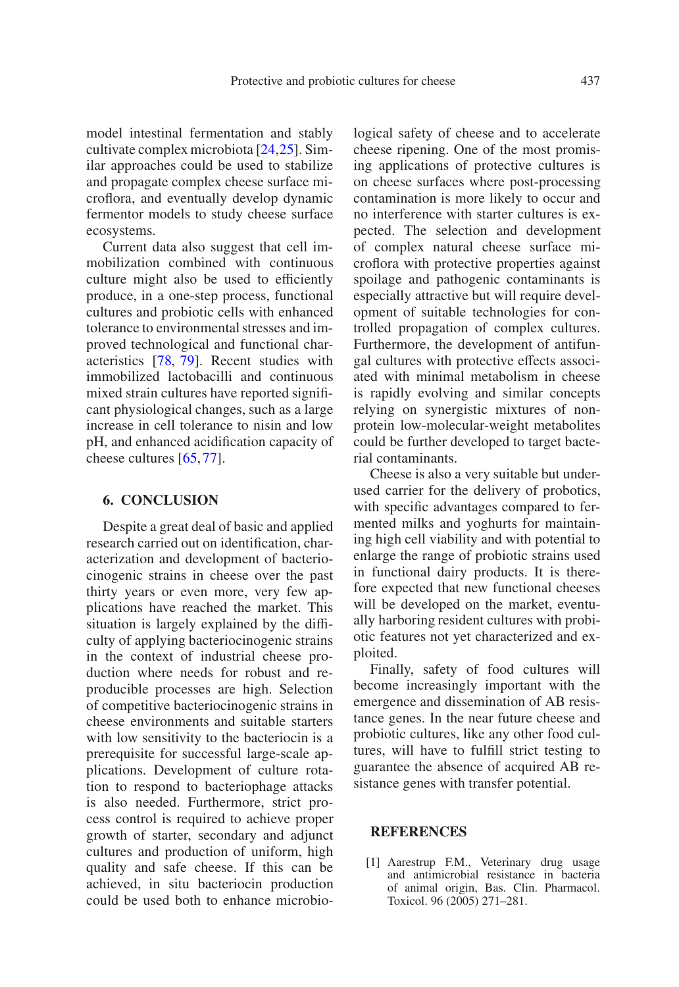model intestinal fermentation and stably cultivate complex microbiota [\[24,](#page-18-18)[25\]](#page-18-19). Similar approaches could be used to stabilize and propagate complex cheese surface microflora, and eventually develop dynamic fermentor models to study cheese surface ecosystems.

Current data also suggest that cell immobilization combined with continuous culture might also be used to efficiently produce, in a one-step process, functional cultures and probiotic cells with enhanced tolerance to environmental stresses and improved technological and functional characteristics [\[78](#page-20-18), [79](#page-20-9)]. Recent studies with immobilized lactobacilli and continuous mixed strain cultures have reported significant physiological changes, such as a large increase in cell tolerance to nisin and low pH, and enhanced acidification capacity of cheese cultures [\[65,](#page-19-21) [77\]](#page-20-19).

#### **6. CONCLUSION**

Despite a great deal of basic and applied research carried out on identification, characterization and development of bacteriocinogenic strains in cheese over the past thirty years or even more, very few applications have reached the market. This situation is largely explained by the difficulty of applying bacteriocinogenic strains in the context of industrial cheese production where needs for robust and reproducible processes are high. Selection of competitive bacteriocinogenic strains in cheese environments and suitable starters with low sensitivity to the bacteriocin is a prerequisite for successful large-scale applications. Development of culture rotation to respond to bacteriophage attacks is also needed. Furthermore, strict process control is required to achieve proper growth of starter, secondary and adjunct cultures and production of uniform, high quality and safe cheese. If this can be achieved, in situ bacteriocin production could be used both to enhance microbiological safety of cheese and to accelerate cheese ripening. One of the most promising applications of protective cultures is on cheese surfaces where post-processing contamination is more likely to occur and no interference with starter cultures is expected. The selection and development of complex natural cheese surface microflora with protective properties against spoilage and pathogenic contaminants is especially attractive but will require development of suitable technologies for controlled propagation of complex cultures. Furthermore, the development of antifungal cultures with protective effects associated with minimal metabolism in cheese is rapidly evolving and similar concepts relying on synergistic mixtures of nonprotein low-molecular-weight metabolites could be further developed to target bacterial contaminants.

Cheese is also a very suitable but underused carrier for the delivery of probotics, with specific advantages compared to fermented milks and yoghurts for maintaining high cell viability and with potential to enlarge the range of probiotic strains used in functional dairy products. It is therefore expected that new functional cheeses will be developed on the market, eventually harboring resident cultures with probiotic features not yet characterized and exploited.

Finally, safety of food cultures will become increasingly important with the emergence and dissemination of AB resistance genes. In the near future cheese and probiotic cultures, like any other food cultures, will have to fulfill strict testing to guarantee the absence of acquired AB resistance genes with transfer potential.

#### **REFERENCES**

<span id="page-16-0"></span>[1] Aarestrup F.M., Veterinary drug usage and antimicrobial resistance in bacteria of animal origin, Bas. Clin. Pharmacol. Toxicol. 96 (2005) 271–281.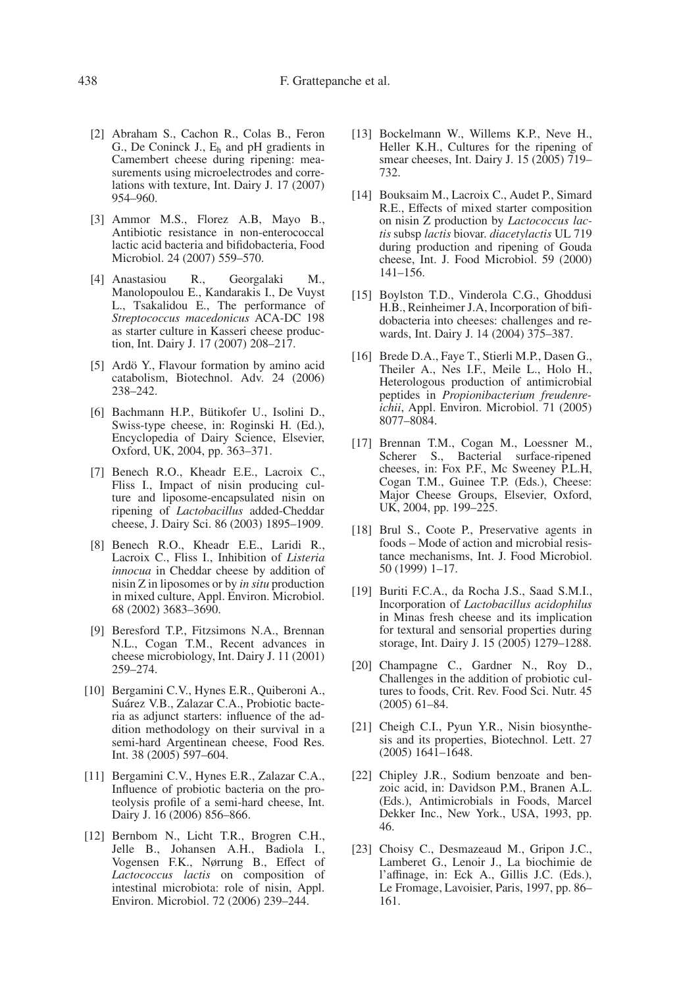- <span id="page-17-11"></span>[2] Abraham S., Cachon R., Colas B., Feron G., De Coninck J., Eh and pH gradients in Camembert cheese during ripening: measurements using microelectrodes and correlations with texture, Int. Dairy J. 17 (2007) 954–960.
- <span id="page-17-18"></span>[3] Ammor M.S., Florez A.B, Mayo B., Antibiotic resistance in non-enterococcal lactic acid bacteria and bifidobacteria, Food Microbiol. 24 (2007) 559–570.
- <span id="page-17-4"></span>[4] Anastasiou R., Georgalaki M., Manolopoulou E., Kandarakis I., De Vuyst L., Tsakalidou E., The performance of *Streptococcus macedonicus* ACA-DC 198 as starter culture in Kasseri cheese production, Int. Dairy J. 17 (2007) 208–217.
- <span id="page-17-17"></span>[5] Ardö Y., Flavour formation by amino acid catabolism, Biotechnol. Adv. 24 (2006) 238–242.
- <span id="page-17-3"></span>[6] Bachmann H.P., Bütikofer U., Isolini D., Swiss-type cheese, in: Roginski H. (Ed.), Encyclopedia of Dairy Science, Elsevier, Oxford, UK, 2004, pp. 363–371.
- <span id="page-17-5"></span>[7] Benech R.O., Kheadr E.E., Lacroix C., Fliss I., Impact of nisin producing culture and liposome-encapsulated nisin on ripening of *Lactobacillus* added-Cheddar cheese, J. Dairy Sci. 86 (2003) 1895–1909.
- <span id="page-17-1"></span>[8] Benech R.O., Kheadr E.E., Laridi R., Lacroix C., Fliss I., Inhibition of *Listeria innocua* in Cheddar cheese by addition of nisin Z in liposomes or by *in situ* production in mixed culture, Appl. Environ. Microbiol. 68 (2002) 3683–3690.
- <span id="page-17-13"></span>[9] Beresford T.P., Fitzsimons N.A., Brennan N.L., Cogan T.M., Recent advances in cheese microbiology, Int. Dairy J. 11 (2001) 259–274.
- <span id="page-17-14"></span>[10] Bergamini C.V., Hynes E.R., Quiberoni A., Suárez V.B., Zalazar C.A., Probiotic bacteria as adjunct starters: influence of the addition methodology on their survival in a semi-hard Argentinean cheese, Food Res. Int. 38 (2005) 597–604.
- <span id="page-17-15"></span>[11] Bergamini C.V., Hynes E.R., Zalazar C.A., Influence of probiotic bacteria on the proteolysis profile of a semi-hard cheese, Int. Dairy J. 16 (2006) 856–866.
- <span id="page-17-0"></span>[12] Bernbom N., Licht T.R., Brogren C.H., Jelle B., Johansen A.H., Badiola I., Vogensen F.K., Nørrung B., Effect of *Lactococcus lactis* on composition of intestinal microbiota: role of nisin, Appl. Environ. Microbiol. 72 (2006) 239–244.
- <span id="page-17-8"></span>[13] Bockelmann W., Willems K.P., Neve H., Heller K.H., Cultures for the ripening of smear cheeses, Int. Dairy J. 15 (2005) 719– 732.
- <span id="page-17-19"></span>[14] Bouksaim M., Lacroix C., Audet P., Simard R.E., Effects of mixed starter composition on nisin Z production by *Lactococcus lactis* subsp *lactis* biovar. *diacetylactis* UL 719 during production and ripening of Gouda cheese, Int. J. Food Microbiol. 59 (2000) 141–156.
- <span id="page-17-10"></span>[15] Boylston T.D., Vinderola C.G., Ghoddusi H.B., Reinheimer J.A, Incorporation of bifidobacteria into cheeses: challenges and rewards, Int. Dairy J. 14 (2004) 375–387.
- <span id="page-17-20"></span>[16] Brede D.A., Faye T., Stierli M.P., Dasen G., Theiler A., Nes I.F., Meile L., Holo H., Heterologous production of antimicrobial peptides in *Propionibacterium freudenreichii*, Appl. Environ. Microbiol. 71 (2005) 8077–8084.
- <span id="page-17-21"></span>[17] Brennan T.M., Cogan M., Loessner M., Scherer S., Bacterial surface-ripened cheeses, in: Fox P.F., Mc Sweeney P.L.H, Cogan T.M., Guinee T.P. (Eds.), Cheese: Major Cheese Groups, Elsevier, Oxford, UK, 2004, pp. 199–225.
- <span id="page-17-7"></span>[18] Brul S., Coote P., Preservative agents in foods – Mode of action and microbial resistance mechanisms, Int. J. Food Microbiol. 50 (1999) 1–17.
- <span id="page-17-16"></span>[19] Buriti F.C.A., da Rocha J.S., Saad S.M.I., Incorporation of *Lactobacillus acidophilus* in Minas fresh cheese and its implication for textural and sensorial properties during storage, Int. Dairy J. 15 (2005) 1279–1288.
- <span id="page-17-9"></span>[20] Champagne C., Gardner N., Roy D., Challenges in the addition of probiotic cultures to foods, Crit. Rev. Food Sci. Nutr. 45 (2005) 61–84.
- <span id="page-17-2"></span>[21] Cheigh C.I., Pyun Y.R., Nisin biosynthesis and its properties, Biotechnol. Lett. 27 (2005) 1641–1648.
- <span id="page-17-6"></span>[22] Chipley J.R., Sodium benzoate and benzoic acid, in: Davidson P.M., Branen A.L. (Eds.), Antimicrobials in Foods, Marcel Dekker Inc., New York., USA, 1993, pp. 46.
- <span id="page-17-12"></span>[23] Choisy C., Desmazeaud M., Gripon J.C., Lamberet G., Lenoir J., La biochimie de l'affinage, in: Eck A., Gillis J.C. (Eds.), Le Fromage, Lavoisier, Paris, 1997, pp. 86– 161.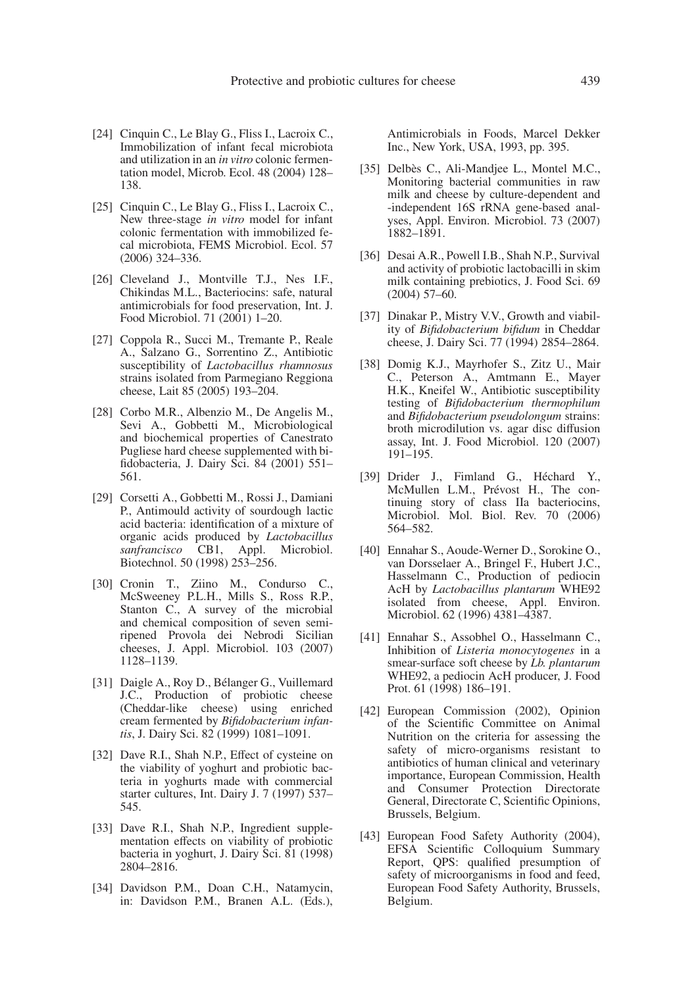- <span id="page-18-18"></span>[24] Cinquin C., Le Blay G., Fliss I., Lacroix C., Immobilization of infant fecal microbiota and utilization in an *in vitro* colonic fermentation model, Microb. Ecol. 48 (2004) 128– 138.
- <span id="page-18-19"></span>[25] Cinquin C., Le Blay G., Fliss I., Lacroix C., New three-stage *in vitro* model for infant colonic fermentation with immobilized fecal microbiota, FEMS Microbiol. Ecol. 57 (2006) 324–336.
- <span id="page-18-0"></span>[26] Cleveland J., Montville T.J., Nes I.F., Chikindas M.L., Bacteriocins: safe, natural antimicrobials for food preservation, Int. J. Food Microbiol. 71 (2001) 1–20.
- <span id="page-18-14"></span>[27] Coppola R., Succi M., Tremante P., Reale A., Salzano G., Sorrentino Z., Antibiotic susceptibility of *Lactobacillus rhamnosus* strains isolated from Parmegiano Reggiona cheese, Lait 85 (2005) 193–204.
- <span id="page-18-10"></span>[28] Corbo M.R., Albenzio M., De Angelis M., Sevi A., Gobbetti M., Microbiological and biochemical properties of Canestrato Pugliese hard cheese supplemented with bifidobacteria, J. Dairy Sci. 84 (2001) 551– 561.
- <span id="page-18-5"></span>[29] Corsetti A., Gobbetti M., Rossi J., Damiani P., Antimould activity of sourdough lactic acid bacteria: identification of a mixture of organic acids produced by *Lactobacillus* Appl. Microbiol. Biotechnol. 50 (1998) 253–256.
- <span id="page-18-6"></span>[30] Cronin T., Ziino M., Condurso C., McSweeney P.L.H., Mills S., Ross R.P., Stanton C., A survey of the microbial and chemical composition of seven semiripened Provola dei Nebrodi Sicilian cheeses, J. Appl. Microbiol. 103 (2007) 1128–1139.
- <span id="page-18-11"></span>[31] Daigle A., Roy D., Bélanger G., Vuillemard J.C., Production of probiotic cheese (Cheddar-like cheese) using enriched cream fermented by *Bifidobacterium infantis*, J. Dairy Sci. 82 (1999) 1081–1091.
- <span id="page-18-8"></span>[32] Dave R.I., Shah N.P., Effect of cysteine on the viability of yoghurt and probiotic bacteria in yoghurts made with commercial starter cultures, Int. Dairy J. 7 (1997) 537– 545.
- <span id="page-18-9"></span>[33] Dave R.I., Shah N.P., Ingredient supplementation effects on viability of probiotic bacteria in yoghurt, J. Dairy Sci. 81 (1998) 2804–2816.
- <span id="page-18-4"></span>[34] Davidson P.M., Doan C.H., Natamycin, in: Davidson P.M., Branen A.L. (Eds.),

Antimicrobials in Foods, Marcel Dekker Inc., New York, USA, 1993, pp. 395.

- <span id="page-18-7"></span>[35] Delbès C., Ali-Mandjee L., Montel M.C., Monitoring bacterial communities in raw milk and cheese by culture-dependent and -independent 16S rRNA gene-based analyses, Appl. Environ. Microbiol. 73 (2007) 1882–1891.
- <span id="page-18-13"></span>[36] Desai A.R., Powell I.B., Shah N.P., Survival and activity of probiotic lactobacilli in skim milk containing prebiotics, J. Food Sci. 69 (2004) 57–60.
- <span id="page-18-12"></span>[37] Dinakar P., Mistry V.V., Growth and viability of *Bifidobacterium bifidum* in Cheddar cheese, J. Dairy Sci. 77 (1994) 2854–2864.
- <span id="page-18-15"></span>[38] Domig K.J., Mayrhofer S., Zitz U., Mair C., Peterson A., Amtmann E., Mayer H.K., Kneifel W., Antibiotic susceptibility testing of *Bifidobacterium thermophilum* and *Bifidobacterium pseudolongum* strains: broth microdilution vs. agar disc diffusion assay, Int. J. Food Microbiol. 120 (2007) 191–195.
- <span id="page-18-1"></span>[39] Drider J., Fimland G., Héchard Y., McMullen L.M., Prévost H., The continuing story of class IIa bacteriocins, Microbiol. Mol. Biol. Rev. 70 (2006) 564–582.
- <span id="page-18-2"></span>[40] Ennahar S., Aoude-Werner D., Sorokine O., van Dorsselaer A., Bringel F., Hubert J.C., Hasselmann C., Production of pediocin AcH by *Lactobacillus plantarum* WHE92 isolated from cheese, Appl. Environ. Microbiol. 62 (1996) 4381–4387.
- <span id="page-18-3"></span>[41] Ennahar S., Assobhel O., Hasselmann C., Inhibition of *Listeria monocytogenes* in a smear-surface soft cheese by *Lb. plantarum* WHE92, a pediocin AcH producer, J. Food Prot. 61 (1998) 186–191.
- <span id="page-18-16"></span>[42] European Commission (2002), Opinion of the Scientific Committee on Animal Nutrition on the criteria for assessing the safety of micro-organisms resistant to antibiotics of human clinical and veterinary importance, European Commission, Health and Consumer Protection Directorate General, Directorate C, Scientific Opinions, Brussels, Belgium.
- <span id="page-18-17"></span>[43] European Food Safety Authority (2004), EFSA Scientific Colloquium Summary Report, QPS: qualified presumption of safety of microorganisms in food and feed, European Food Safety Authority, Brussels, Belgium.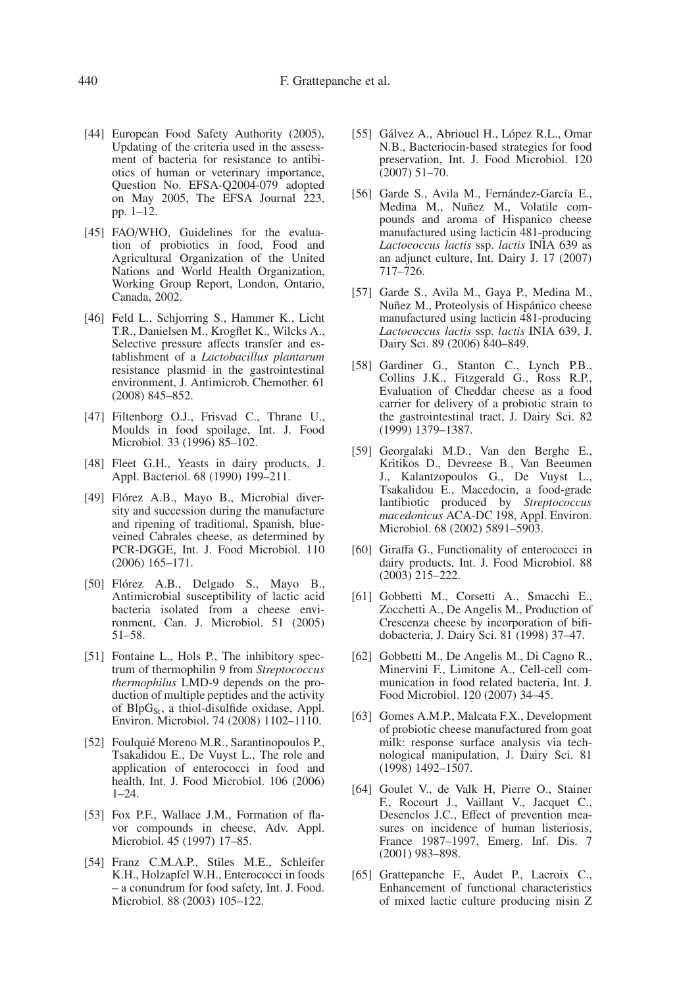- <span id="page-19-20"></span>[44] European Food Safety Authority (2005), Updating of the criteria used in the assessment of bacteria for resistance to antibiotics of human or veterinary importance, Question No. EFSA-Q2004-079 adopted on May 2005, The EFSA Journal 223, pp. 1–12.
- <span id="page-19-12"></span>[45] FAO/WHO, Guidelines for the evaluation of probiotics in food, Food and Agricultural Organization of the United Nations and World Health Organization, Working Group Report, London, Ontario, Canada, 2002.
- <span id="page-19-18"></span>[46] Feld L., Schjorring S., Hammer K., Licht T.R., Danielsen M., Krogflet K., Wilcks A., Selective pressure affects transfer and establishment of a *Lactobacillus plantarum* resistance plasmid in the gastrointestinal environment, J. Antimicrob. Chemother. 61 (2008) 845–852.
- <span id="page-19-1"></span>[47] Filtenborg O.J., Frisvad C., Thrane U., Moulds in food spoilage, Int. J. Food Microbiol. 33 (1996) 85–102.
- <span id="page-19-2"></span>[48] Fleet G.H., Yeasts in dairy products, J. Appl. Bacteriol. 68 (1990) 199–211.
- <span id="page-19-10"></span>[49] Flórez A.B., Mayo B., Microbial diversity and succession during the manufacture and ripening of traditional, Spanish, blueveined Cabrales cheese, as determined by PCR-DGGE, Int. J. Food Microbiol. 110 (2006) 165–171.
- <span id="page-19-19"></span>[50] Flórez A.B., Delgado S., Mayo B., Antimicrobial susceptibility of lactic acid bacteria isolated from a cheese environment, Can. J. Microbiol. 51 (2005) 51–58.
- <span id="page-19-4"></span>[51] Fontaine L., Hols P., The inhibitory spectrum of thermophilin 9 from *Streptococcus thermophilus* LMD-9 depends on the production of multiple peptides and the activity of  $BlpG<sub>St</sub>$ , a thiol-disulfide oxidase, Appl. Environ. Microbiol. 74 (2008) 1102–1110.
- <span id="page-19-7"></span>[52] Foulquié Moreno M.R., Sarantinopoulos P., Tsakalidou E., De Vuyst L., The role and application of enterococci in food and health, Int. J. Food Microbiol. 106 (2006) 1–24.
- <span id="page-19-16"></span>[53] Fox P.F., Wallace J.M., Formation of flavor compounds in cheese, Adv. Appl. Microbiol. 45 (1997) 17–85.
- <span id="page-19-17"></span>[54] Franz C.M.A.P., Stiles M.E., Schleifer K.H., Holzapfel W.H., Enterococci in foods – a conundrum for food safety, Int. J. Food. Microbiol. 88 (2003) 105–122.
- <span id="page-19-3"></span>[55] Gálvez A., Abriouel H., López R.L., Omar N.B., Bacteriocin-based strategies for food preservation, Int. J. Food Microbiol. 120  $(2007)$  51–70.
- <span id="page-19-9"></span>[56] Garde S., Avila M., Fernández-García E., Medina M., Nuñez M., Volatile compounds and aroma of Hispanico cheese manufactured using lacticin 481-producing *Lactococcus lactis* ssp. *lactis* INIA 639 as an adjunct culture, Int. Dairy J. 17 (2007) 717–726.
- <span id="page-19-8"></span>[57] Garde S., Avila M., Gaya P., Medina M., Nuñez M., Proteolysis of Hispánico cheese manufactured using lacticin 481-producing *Lactococcus lactis* ssp. *lactis* INIA 639, J. Dairy Sci. 89 (2006) 840–849.
- <span id="page-19-14"></span>[58] Gardiner G., Stanton C., Lynch P.B., Collins J.K., Fitzgerald G., Ross R.P., Evaluation of Cheddar cheese as a food carrier for delivery of a probiotic strain to the gastrointestinal tract, J. Dairy Sci. 82 (1999) 1379–1387.
- <span id="page-19-5"></span>[59] Georgalaki M.D., Van den Berghe E., Kritikos D., Devreese B., Van Beeumen J., Kalantzopoulos G., De Vuyst L., Tsakalidou E., Macedocin, a food-grade lantibiotic produced by *Streptococcus macedonicus* ACA-DC 198, Appl. Environ. Microbiol. 68 (2002) 5891–5903.
- <span id="page-19-6"></span>[60] Giraffa G., Functionality of enterococci in dairy products, Int. J. Food Microbiol. 88 (2003) 215–222.
- <span id="page-19-15"></span>[61] Gobbetti M., Corsetti A., Smacchi E., Zocchetti A., De Angelis M., Production of Crescenza cheese by incorporation of bifidobacteria, J. Dairy Sci. 81 (1998) 37–47.
- <span id="page-19-11"></span>[62] Gobbetti M., De Angelis M., Di Cagno R., Minervini F., Limitone A., Cell-cell communication in food related bacteria, Int. J. Food Microbiol. 120 (2007) 34–45.
- <span id="page-19-13"></span>[63] Gomes A.M.P., Malcata F.X., Development of probiotic cheese manufactured from goat milk: response surface analysis via technological manipulation, J. Dairy Sci. 81 (1998) 1492–1507.
- <span id="page-19-0"></span>[64] Goulet V., de Valk H, Pierre O., Stainer F., Rocourt J., Vaillant V., Jacquet C., Desenclos J.C., Effect of prevention measures on incidence of human listeriosis, France 1987–1997, Emerg. Inf. Dis. 7 (2001) 983–898.
- <span id="page-19-21"></span>[65] Grattepanche F., Audet P., Lacroix C., Enhancement of functional characteristics of mixed lactic culture producing nisin Z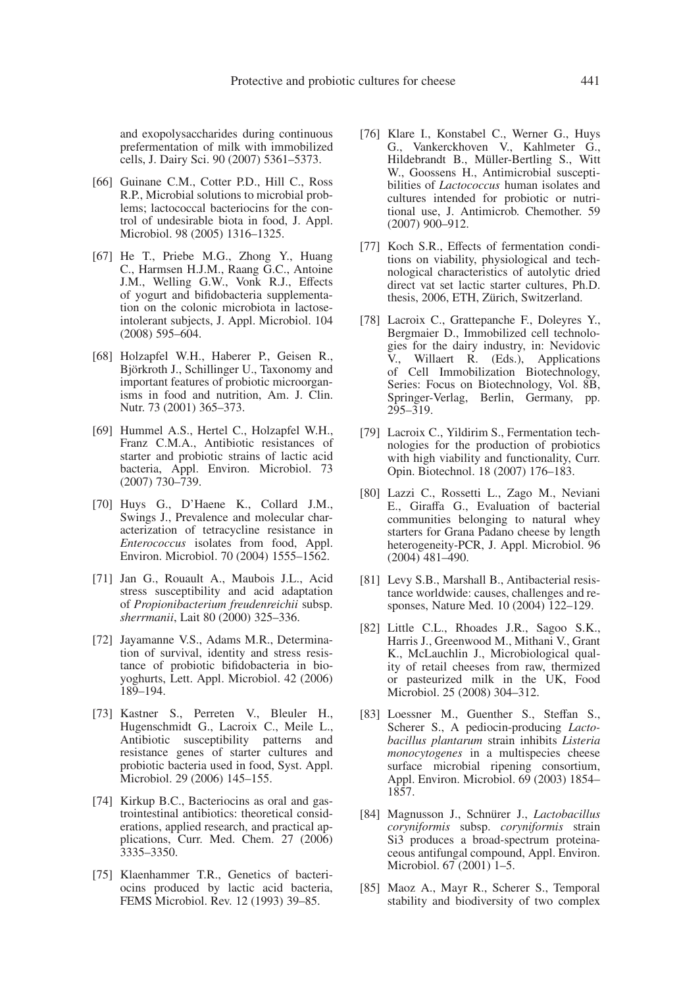and exopolysaccharides during continuous prefermentation of milk with immobilized cells, J. Dairy Sci. 90 (2007) 5361–5373.

- <span id="page-20-1"></span>[66] Guinane C.M., Cotter P.D., Hill C., Ross R.P., Microbial solutions to microbial problems; lactococcal bacteriocins for the control of undesirable biota in food, J. Appl. Microbiol. 98 (2005) 1316–1325.
- <span id="page-20-12"></span>[67] He T., Priebe M.G., Zhong Y., Huang C., Harmsen H.J.M., Raang G.C., Antoine J.M., Welling G.W., Vonk R.J., Effects of yogurt and bifidobacteria supplementation on the colonic microbiota in lactoseintolerant subjects, J. Appl. Microbiol. 104 (2008) 595–604.
- <span id="page-20-8"></span>[68] Holzapfel W.H., Haberer P., Geisen R., Björkroth J., Schillinger U., Taxonomy and important features of probiotic microorganisms in food and nutrition, Am. J. Clin. Nutr. 73 (2001) 365–373.
- <span id="page-20-15"></span>[69] Hummel A.S., Hertel C., Holzapfel W.H., Franz C.M.A., Antibiotic resistances of starter and probiotic strains of lactic acid bacteria, Appl. Environ. Microbiol. 73 (2007) 730–739.
- <span id="page-20-14"></span>[70] Huys G., D'Haene K., Collard J.M., Swings J., Prevalence and molecular characterization of tetracycline resistance in *Enterococcus* isolates from food, Appl. Environ. Microbiol. 70 (2004) 1555–1562.
- <span id="page-20-11"></span>[71] Jan G., Rouault A., Maubois J.L., Acid stress susceptibility and acid adaptation of *Propionibacterium freudenreichii* subsp. *sherrmanii*, Lait 80 (2000) 325–336.
- <span id="page-20-10"></span>[72] Jayamanne V.S., Adams M.R., Determination of survival, identity and stress resistance of probiotic bifidobacteria in bioyoghurts, Lett. Appl. Microbiol. 42 (2006) 189–194.
- <span id="page-20-17"></span>[73] Kastner S., Perreten V., Bleuler H., Hugenschmidt G., Lacroix C., Meile L., Antibiotic susceptibility patterns and resistance genes of starter cultures and probiotic bacteria used in food, Syst. Appl. Microbiol. 29 (2006) 145–155.
- <span id="page-20-3"></span>[74] Kirkup B.C., Bacteriocins as oral and gastrointestinal antibiotics: theoretical considerations, applied research, and practical applications, Curr. Med. Chem. 27 (2006) 3335–3350.
- <span id="page-20-4"></span>[75] Klaenhammer T.R., Genetics of bacteriocins produced by lactic acid bacteria, FEMS Microbiol. Rev. 12 (1993) 39–85.
- <span id="page-20-16"></span>[76] Klare I., Konstabel C., Werner G., Huys G., Vankerckhoven V., Kahlmeter G., Hildebrandt B., Müller-Bertling S., Witt W., Goossens H., Antimicrobial susceptibilities of *Lactococcus* human isolates and cultures intended for probiotic or nutritional use, J. Antimicrob. Chemother. 59 (2007) 900–912.
- <span id="page-20-19"></span>[77] Koch S.R., Effects of fermentation conditions on viability, physiological and technological characteristics of autolytic dried direct vat set lactic starter cultures, Ph.D. thesis, 2006, ETH, Zürich, Switzerland.
- <span id="page-20-18"></span>[78] Lacroix C., Grattepanche F., Doleyres Y., Bergmaier D., Immobilized cell technologies for the dairy industry, in: Nevidovic V., Willaert R. (Eds.), Applications of Cell Immobilization Biotechnology, Series: Focus on Biotechnology, Vol. 8B, Springer-Verlag, Berlin, Germany, pp. 295–319.
- <span id="page-20-9"></span>[79] Lacroix C., Yildirim S., Fermentation technologies for the production of probiotics with high viability and functionality, Curr. Opin. Biotechnol. 18 (2007) 176–183.
- <span id="page-20-6"></span>[80] Lazzi C., Rossetti L., Zago M., Neviani E., Giraffa G., Evaluation of bacterial communities belonging to natural whey starters for Grana Padano cheese by length heterogeneity-PCR, J. Appl. Microbiol. 96 (2004) 481–490.
- <span id="page-20-13"></span>[81] Levy S.B., Marshall B., Antibacterial resistance worldwide: causes, challenges and responses, Nature Med. 10 (2004) 122–129.
- <span id="page-20-0"></span>[82] Little C.L., Rhoades J.R., Sagoo S.K., Harris J., Greenwood M., Mithani V., Grant K., McLauchlin J., Microbiological quality of retail cheeses from raw, thermized or pasteurized milk in the UK, Food Microbiol. 25 (2008) 304–312.
- <span id="page-20-2"></span>[83] Loessner M., Guenther S., Steffan S., Scherer S., A pediocin-producing *Lactobacillus plantarum* strain inhibits *Listeria monocytogenes* in a multispecies cheese surface microbial ripening consortium, Appl. Environ. Microbiol. 69 (2003) 1854– 1857.
- <span id="page-20-5"></span>[84] Magnusson J., Schnürer J., *Lactobacillus coryniformis* subsp. *coryniformis* strain Si3 produces a broad-spectrum proteinaceous antifungal compound, Appl. Environ. Microbiol. 67 (2001) 1–5.
- <span id="page-20-7"></span>[85] Maoz A., Mayr R., Scherer S., Temporal stability and biodiversity of two complex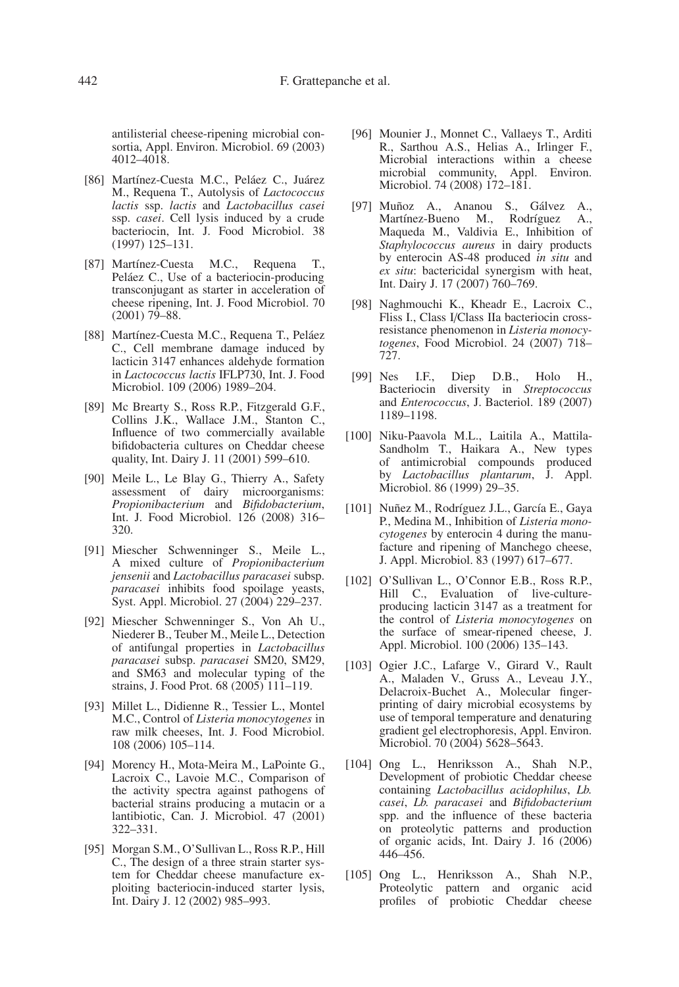antilisterial cheese-ripening microbial consortia, Appl. Environ. Microbiol. 69 (2003) 4012–4018.

- <span id="page-21-6"></span>[86] Martínez-Cuesta M.C., Peláez C., Juárez M., Requena T., Autolysis of *Lactococcus lactis* ssp. *lactis* and *Lactobacillus casei* ssp. *casei*. Cell lysis induced by a crude bacteriocin, Int. J. Food Microbiol. 38 (1997) 125–131.
- <span id="page-21-9"></span>[87] Martínez-Cuesta M.C., Requena T., Peláez C., Use of a bacteriocin-producing transconjugant as starter in acceleration of cheese ripening, Int. J. Food Microbiol. 70 (2001) 79–88.
- <span id="page-21-7"></span>[88] Martínez-Cuesta M.C., Requena T., Peláez C., Cell membrane damage induced by lacticin 3147 enhances aldehyde formation in *Lactococcus lactis* IFLP730, Int. J. Food Microbiol. 109 (2006) 1989–204.
- <span id="page-21-19"></span>[89] Mc Brearty S., Ross R.P., Fitzgerald G.F., Collins J.K., Wallace J.M., Stanton C., Influence of two commercially available bifidobacteria cultures on Cheddar cheese quality, Int. Dairy J. 11 (2001) 599–610.
- <span id="page-21-16"></span>[90] Meile L., Le Blay G., Thierry A., Safety assessment of dairy microorganisms: *Propionibacterium* and *Bifidobacterium*, Int. J. Food Microbiol. 126 (2008) 316– 320.
- <span id="page-21-10"></span>[91] Miescher Schwenninger S., Meile L., A mixed culture of *Propionibacterium jensenii* and *Lactobacillus paracasei* subsp. *paracasei* inhibits food spoilage yeasts, Syst. Appl. Microbiol. 27 (2004) 229–237.
- <span id="page-21-11"></span>[92] Miescher Schwenninger S., Von Ah U., Niederer B., Teuber M., Meile L., Detection of antifungal properties in *Lactobacillus paracasei* subsp. *paracasei* SM20, SM29, and SM63 and molecular typing of the strains, J. Food Prot. 68 (2005) 111–119.
- <span id="page-21-15"></span>[93] Millet L., Didienne R., Tessier L., Montel M.C., Control of *Listeria monocytogenes* in raw milk cheeses, Int. J. Food Microbiol. 108 (2006) 105–114.
- <span id="page-21-0"></span>[94] Morency H., Mota-Meira M., LaPointe G., Lacroix C., Lavoie M.C., Comparison of the activity spectra against pathogens of bacterial strains producing a mutacin or a lantibiotic, Can. J. Microbiol. 47 (2001) 322–331.
- <span id="page-21-8"></span>[95] Morgan S.M., O'Sullivan L., Ross R.P., Hill C., The design of a three strain starter system for Cheddar cheese manufacture exploiting bacteriocin-induced starter lysis, Int. Dairy J. 12 (2002) 985–993.
- <span id="page-21-14"></span>[96] Mounier J., Monnet C., Vallaeys T., Arditi R., Sarthou A.S., Helias A., Irlinger F., Microbial interactions within a cheese microbial community, Appl. Environ. Microbiol. 74 (2008) 172–181.
- <span id="page-21-4"></span>[97] Muñoz A., Ananou S., Gálvez A., Martínez-Bueno M., Rodríguez A., Maqueda M., Valdivia E., Inhibition of *Staphylococcus aureus* in dairy products by enterocin AS-48 produced *in situ* and *ex situ*: bactericidal synergism with heat, Int. Dairy J. 17 (2007) 760–769.
- <span id="page-21-5"></span>[98] Naghmouchi K., Kheadr E., Lacroix C., Fliss I., Class I/Class IIa bacteriocin crossresistance phenomenon in *Listeria monocytogenes*, Food Microbiol. 24 (2007) 718– 727.
- <span id="page-21-2"></span>[99] Nes I.F., Diep D.B., Holo H., Bacteriocin diversity in *Streptococcus* and *Enterococcus*, J. Bacteriol. 189 (2007) 1189–1198.
- <span id="page-21-12"></span>[100] Niku-Paavola M.L., Laitila A., Mattila-Sandholm T., Haikara A., New types of antimicrobial compounds produced by *Lactobacillus plantarum*, J. Appl. Microbiol. 86 (1999) 29–35.
- <span id="page-21-3"></span>[101] Nuñez M., Rodríguez J.L., García E., Gaya P., Medina M., Inhibition of *Listeria monocytogenes* by enterocin 4 during the manufacture and ripening of Manchego cheese, J. Appl. Microbiol. 83 (1997) 617–677.
- <span id="page-21-1"></span>[102] O'Sullivan L., O'Connor E.B., Ross R.P., Hill C., Evaluation of live-cultureproducing lacticin 3147 as a treatment for the control of *Listeria monocytogenes* on the surface of smear-ripened cheese, J. Appl. Microbiol. 100 (2006) 135–143.
- <span id="page-21-13"></span>[103] Ogier J.C., Lafarge V., Girard V., Rault A., Maladen V., Gruss A., Leveau J.Y., Delacroix-Buchet A., Molecular fingerprinting of dairy microbial ecosystems by use of temporal temperature and denaturing gradient gel electrophoresis, Appl. Environ. Microbiol. 70 (2004) 5628–5643.
- <span id="page-21-17"></span>[104] Ong L., Henriksson A., Shah N.P., Development of probiotic Cheddar cheese containing *Lactobacillus acidophilus*, *Lb. casei*, *Lb. paracasei* and *Bifidobacterium* spp. and the influence of these bacteria on proteolytic patterns and production of organic acids, Int. Dairy J. 16 (2006) 446–456.
- <span id="page-21-18"></span>[105] Ong L., Henriksson A., Shah N.P., Proteolytic pattern and organic acid profiles of probiotic Cheddar cheese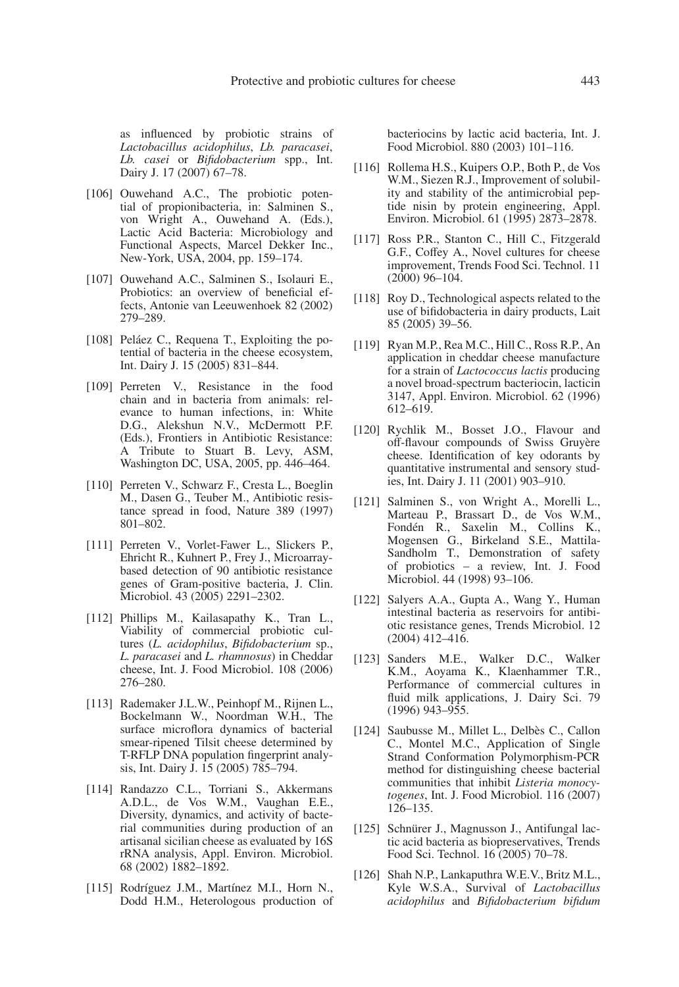as influenced by probiotic strains of *Lactobacillus acidophilus*, *Lb. paracasei*, *Lb. casei* or *Bifidobacterium* spp., Int. Dairy J. 17 (2007) 67-78.

- <span id="page-22-7"></span>[106] Ouwehand A.C., The probiotic potential of propionibacteria, in: Salminen S., von Wright A., Ouwehand A. (Eds.), Lactic Acid Bacteria: Microbiology and Functional Aspects, Marcel Dekker Inc., New-York, USA, 2004, pp. 159–174.
- <span id="page-22-14"></span>[107] Ouwehand A.C., Salminen S., Isolauri E., Probiotics: an overview of beneficial effects, Antonie van Leeuwenhoek 82 (2002) 279–289.
- <span id="page-22-8"></span>[108] Peláez C., Requena T., Exploiting the potential of bacteria in the cheese ecosystem, Int. Dairy J. 15 (2005) 831–844.
- <span id="page-22-16"></span>[109] Perreten V., Resistance in the food chain and in bacteria from animals: relevance to human infections, in: White D.G., Alekshun N.V., McDermott P.F. (Eds.), Frontiers in Antibiotic Resistance: A Tribute to Stuart B. Levy, ASM, Washington DC, USA, 2005, pp. 446–464.
- <span id="page-22-17"></span>[110] Perreten V., Schwarz F., Cresta L., Boeglin M., Dasen G., Teuber M., Antibiotic resistance spread in food, Nature 389 (1997) 801–802.
- <span id="page-22-19"></span>[111] Perreten V., Vorlet-Fawer L., Slickers P., Ehricht R., Kuhnert P., Frey J., Microarraybased detection of 90 antibiotic resistance genes of Gram-positive bacteria, J. Clin. Microbiol. 43 (2005) 2291–2302.
- <span id="page-22-12"></span>[112] Phillips M., Kailasapathy K., Tran L., Viability of commercial probiotic cultures (*L. acidophilus*, *Bifidobacterium* sp., *L. paracasei* and *L. rhamnosus*) in Cheddar cheese, Int. J. Food Microbiol. 108 (2006) 276–280.
- <span id="page-22-4"></span>[113] Rademaker J.L.W., Peinhopf M., Rijnen L., Bockelmann W., Noordman W.H., The surface microflora dynamics of bacterial smear-ripened Tilsit cheese determined by T-RFLP DNA population fingerprint analysis, Int. Dairy J. 15 (2005) 785–794.
- <span id="page-22-5"></span>[114] Randazzo C.L., Torriani S., Akkermans A.D.L., de Vos W.M., Vaughan E.E., Diversity, dynamics, and activity of bacterial communities during production of an artisanal sicilian cheese as evaluated by 16S rRNA analysis, Appl. Environ. Microbiol. 68 (2002) 1882–1892.
- <span id="page-22-20"></span>[115] Rodríguez J.M., Martínez M.I., Horn N., Dodd H.M., Heterologous production of

bacteriocins by lactic acid bacteria, Int. J. Food Microbiol. 880 (2003) 101–116.

- <span id="page-22-0"></span>[116] Rollema H.S., Kuipers O.P., Both P., de Vos W.M., Siezen R.J., Improvement of solubility and stability of the antimicrobial peptide nisin by protein engineering, Appl. Environ. Microbiol. 61 (1995) 2873–2878.
- <span id="page-22-1"></span>[117] Ross P.R., Stanton C., Hill C., Fitzgerald G.F., Coffey A., Novel cultures for cheese improvement, Trends Food Sci. Technol. 11  $(2000)$  96–104.
- <span id="page-22-9"></span>[118] Roy D., Technological aspects related to the use of bifidobacteria in dairy products, Lait 85 (2005) 39–56.
- <span id="page-22-2"></span>[119] Ryan M.P., Rea M.C., Hill C., Ross R.P., An application in cheddar cheese manufacture for a strain of *Lactococcus lactis* producing a novel broad-spectrum bacteriocin, lacticin 3147, Appl. Environ. Microbiol. 62 (1996) 612–619.
- <span id="page-22-13"></span>[120] Rychlik M., Bosset J.O., Flavour and off-flavour compounds of Swiss Gruyère cheese. Identification of key odorants by quantitative instrumental and sensory studies, Int. Dairy J. 11 (2001) 903–910.
- <span id="page-22-15"></span>[121] Salminen S., von Wright A., Morelli L., Marteau P., Brassart D., de Vos W.M., Fondén R., Saxelin M., Collins K., Mogensen G., Birkeland S.E., Mattila-Sandholm T., Demonstration of safety of probiotics – a review, Int. J. Food Microbiol. 44 (1998) 93–106.
- <span id="page-22-18"></span>[122] Salyers A.A., Gupta A., Wang Y., Human intestinal bacteria as reservoirs for antibiotic resistance genes, Trends Microbiol. 12 (2004) 412–416.
- <span id="page-22-10"></span>[123] Sanders M.E., Walker D.C., Walker K.M., Aoyama K., Klaenhammer T.R., Performance of commercial cultures in fluid milk applications, J. Dairy Sci. 79 (1996) 943–955.
- <span id="page-22-6"></span>[124] Saubusse M., Millet L., Delbès C., Callon C., Montel M.C., Application of Single Strand Conformation Polymorphism-PCR method for distinguishing cheese bacterial communities that inhibit *Listeria monocytogenes*, Int. J. Food Microbiol. 116 (2007) 126–135.
- <span id="page-22-3"></span>[125] Schnürer J., Magnusson J., Antifungal lactic acid bacteria as biopreservatives, Trends Food Sci. Technol. 16 (2005) 70–78.
- <span id="page-22-11"></span>[126] Shah N.P., Lankaputhra W.E.V., Britz M.L., Kyle W.S.A., Survival of *Lactobacillus acidophilus* and *Bifidobacterium bifidum*